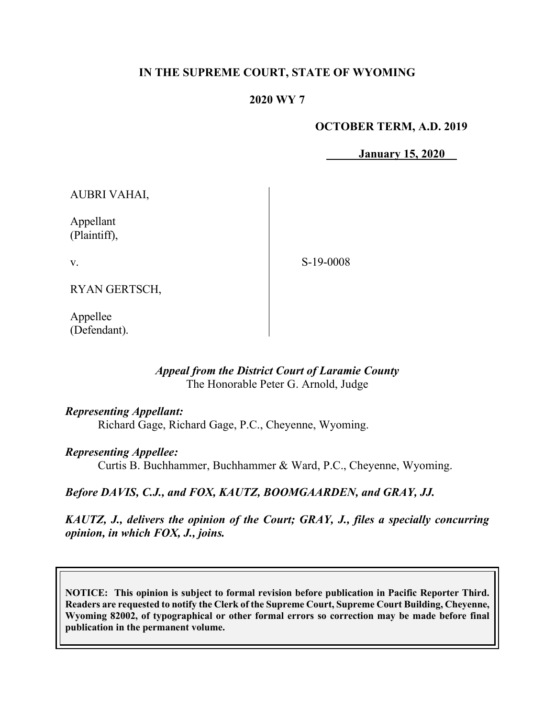## **IN THE SUPREME COURT, STATE OF WYOMING**

## **2020 WY 7**

## **OCTOBER TERM, A.D. 2019**

**January 15, 2020**

AUBRI VAHAI,

Appellant (Plaintiff),

v.

S-19-0008

RYAN GERTSCH,

Appellee (Defendant).

## *Appeal from the District Court of Laramie County* The Honorable Peter G. Arnold, Judge

### *Representing Appellant:*

Richard Gage, Richard Gage, P.C., Cheyenne, Wyoming.

### *Representing Appellee:*

Curtis B. Buchhammer, Buchhammer & Ward, P.C., Cheyenne, Wyoming.

### *Before DAVIS, C.J., and FOX, KAUTZ, BOOMGAARDEN, and GRAY, JJ.*

*KAUTZ, J., delivers the opinion of the Court; GRAY, J., files a specially concurring opinion, in which FOX, J., joins.*

**NOTICE: This opinion is subject to formal revision before publication in Pacific Reporter Third. Readers are requested to notify the Clerk of the Supreme Court, Supreme Court Building, Cheyenne, Wyoming 82002, of typographical or other formal errors so correction may be made before final publication in the permanent volume.**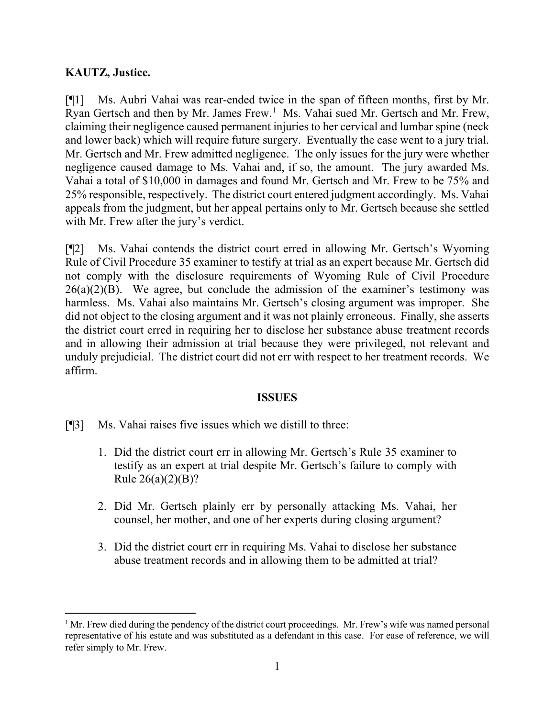## **KAUTZ, Justice.**

[¶1] Ms. Aubri Vahai was rear-ended twice in the span of fifteen months, first by Mr. Ryan Gertsch and then by Mr. James Frew.<sup>[1](#page-1-0)</sup> Ms. Vahai sued Mr. Gertsch and Mr. Frew, claiming their negligence caused permanent injuries to her cervical and lumbar spine (neck and lower back) which will require future surgery. Eventually the case went to a jury trial. Mr. Gertsch and Mr. Frew admitted negligence. The only issues for the jury were whether negligence caused damage to Ms. Vahai and, if so, the amount. The jury awarded Ms. Vahai a total of \$10,000 in damages and found Mr. Gertsch and Mr. Frew to be 75% and 25% responsible, respectively. The district court entered judgment accordingly. Ms. Vahai appeals from the judgment, but her appeal pertains only to Mr. Gertsch because she settled with Mr. Frew after the jury's verdict.

[¶2] Ms. Vahai contends the district court erred in allowing Mr. Gertsch's Wyoming Rule of Civil Procedure 35 examiner to testify at trial as an expert because Mr. Gertsch did not comply with the disclosure requirements of Wyoming Rule of Civil Procedure  $26(a)(2)(B)$ . We agree, but conclude the admission of the examiner's testimony was harmless. Ms. Vahai also maintains Mr. Gertsch's closing argument was improper. She did not object to the closing argument and it was not plainly erroneous. Finally, she asserts the district court erred in requiring her to disclose her substance abuse treatment records and in allowing their admission at trial because they were privileged, not relevant and unduly prejudicial. The district court did not err with respect to her treatment records. We affirm.

### **ISSUES**

- [¶3] Ms. Vahai raises five issues which we distill to three:
	- 1. Did the district court err in allowing Mr. Gertsch's Rule 35 examiner to testify as an expert at trial despite Mr. Gertsch's failure to comply with Rule 26(a)(2)(B)?
	- 2. Did Mr. Gertsch plainly err by personally attacking Ms. Vahai, her counsel, her mother, and one of her experts during closing argument?
	- 3. Did the district court err in requiring Ms. Vahai to disclose her substance abuse treatment records and in allowing them to be admitted at trial?

<span id="page-1-0"></span> $1$  Mr. Frew died during the pendency of the district court proceedings. Mr. Frew's wife was named personal representative of his estate and was substituted as a defendant in this case. For ease of reference, we will refer simply to Mr. Frew.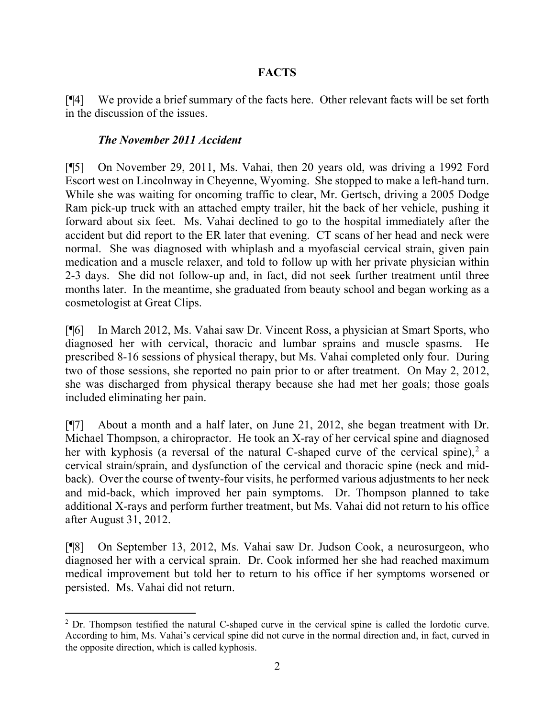# **FACTS**

[¶4] We provide a brief summary of the facts here. Other relevant facts will be set forth in the discussion of the issues.

## *The November 2011 Accident*

[¶5] On November 29, 2011, Ms. Vahai, then 20 years old, was driving a 1992 Ford Escort west on Lincolnway in Cheyenne, Wyoming. She stopped to make a left-hand turn. While she was waiting for oncoming traffic to clear, Mr. Gertsch, driving a 2005 Dodge Ram pick-up truck with an attached empty trailer, hit the back of her vehicle, pushing it forward about six feet. Ms. Vahai declined to go to the hospital immediately after the accident but did report to the ER later that evening. CT scans of her head and neck were normal. She was diagnosed with whiplash and a myofascial cervical strain, given pain medication and a muscle relaxer, and told to follow up with her private physician within 2-3 days. She did not follow-up and, in fact, did not seek further treatment until three months later. In the meantime, she graduated from beauty school and began working as a cosmetologist at Great Clips.

[¶6] In March 2012, Ms. Vahai saw Dr. Vincent Ross, a physician at Smart Sports, who diagnosed her with cervical, thoracic and lumbar sprains and muscle spasms. He prescribed 8-16 sessions of physical therapy, but Ms. Vahai completed only four. During two of those sessions, she reported no pain prior to or after treatment. On May 2, 2012, she was discharged from physical therapy because she had met her goals; those goals included eliminating her pain.

[¶7] About a month and a half later, on June 21, 2012, she began treatment with Dr. Michael Thompson, a chiropractor. He took an X-ray of her cervical spine and diagnosed her with kyphosis (a reversal of the natural C-shaped curve of the cervical spine),<sup>[2](#page-2-0)</sup> a cervical strain/sprain, and dysfunction of the cervical and thoracic spine (neck and midback). Over the course of twenty-four visits, he performed various adjustments to her neck and mid-back, which improved her pain symptoms. Dr. Thompson planned to take additional X-rays and perform further treatment, but Ms. Vahai did not return to his office after August 31, 2012.

[¶8] On September 13, 2012, Ms. Vahai saw Dr. Judson Cook, a neurosurgeon, who diagnosed her with a cervical sprain. Dr. Cook informed her she had reached maximum medical improvement but told her to return to his office if her symptoms worsened or persisted. Ms. Vahai did not return.

<span id="page-2-0"></span><sup>&</sup>lt;sup>2</sup> Dr. Thompson testified the natural C-shaped curve in the cervical spine is called the lordotic curve. According to him, Ms. Vahai's cervical spine did not curve in the normal direction and, in fact, curved in the opposite direction, which is called kyphosis.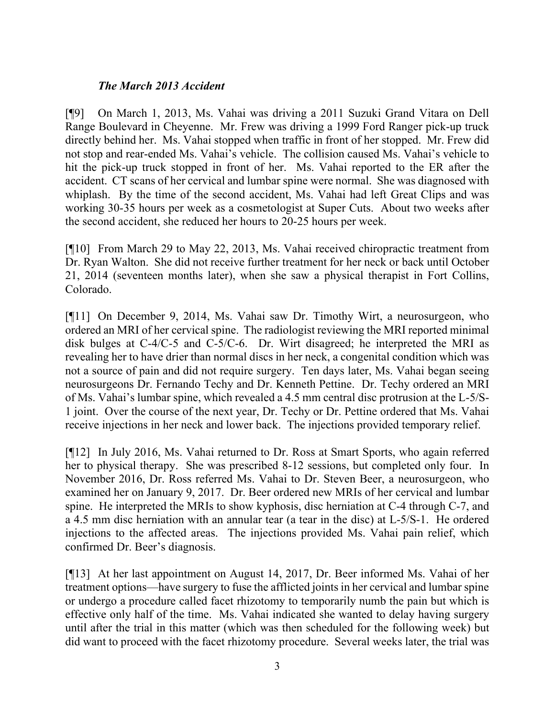## *The March 2013 Accident*

[¶9] On March 1, 2013, Ms. Vahai was driving a 2011 Suzuki Grand Vitara on Dell Range Boulevard in Cheyenne. Mr. Frew was driving a 1999 Ford Ranger pick-up truck directly behind her. Ms. Vahai stopped when traffic in front of her stopped. Mr. Frew did not stop and rear-ended Ms. Vahai's vehicle. The collision caused Ms. Vahai's vehicle to hit the pick-up truck stopped in front of her. Ms. Vahai reported to the ER after the accident. CT scans of her cervical and lumbar spine were normal. She was diagnosed with whiplash. By the time of the second accident, Ms. Vahai had left Great Clips and was working 30-35 hours per week as a cosmetologist at Super Cuts. About two weeks after the second accident, she reduced her hours to 20-25 hours per week.

[¶10] From March 29 to May 22, 2013, Ms. Vahai received chiropractic treatment from Dr. Ryan Walton. She did not receive further treatment for her neck or back until October 21, 2014 (seventeen months later), when she saw a physical therapist in Fort Collins, Colorado.

[¶11] On December 9, 2014, Ms. Vahai saw Dr. Timothy Wirt, a neurosurgeon, who ordered an MRI of her cervical spine. The radiologist reviewing the MRI reported minimal disk bulges at C-4/C-5 and C-5/C-6. Dr. Wirt disagreed; he interpreted the MRI as revealing her to have drier than normal discs in her neck, a congenital condition which was not a source of pain and did not require surgery. Ten days later, Ms. Vahai began seeing neurosurgeons Dr. Fernando Techy and Dr. Kenneth Pettine. Dr. Techy ordered an MRI of Ms. Vahai's lumbar spine, which revealed a 4.5 mm central disc protrusion at the L-5/S-1 joint. Over the course of the next year, Dr. Techy or Dr. Pettine ordered that Ms. Vahai receive injections in her neck and lower back. The injections provided temporary relief.

[¶12] In July 2016, Ms. Vahai returned to Dr. Ross at Smart Sports, who again referred her to physical therapy. She was prescribed 8-12 sessions, but completed only four. In November 2016, Dr. Ross referred Ms. Vahai to Dr. Steven Beer, a neurosurgeon, who examined her on January 9, 2017. Dr. Beer ordered new MRIs of her cervical and lumbar spine. He interpreted the MRIs to show kyphosis, disc herniation at C-4 through C-7, and a 4.5 mm disc herniation with an annular tear (a tear in the disc) at L-5/S-1. He ordered injections to the affected areas. The injections provided Ms. Vahai pain relief, which confirmed Dr. Beer's diagnosis.

[¶13] At her last appointment on August 14, 2017, Dr. Beer informed Ms. Vahai of her treatment options—have surgery to fuse the afflicted joints in her cervical and lumbar spine or undergo a procedure called facet rhizotomy to temporarily numb the pain but which is effective only half of the time. Ms. Vahai indicated she wanted to delay having surgery until after the trial in this matter (which was then scheduled for the following week) but did want to proceed with the facet rhizotomy procedure. Several weeks later, the trial was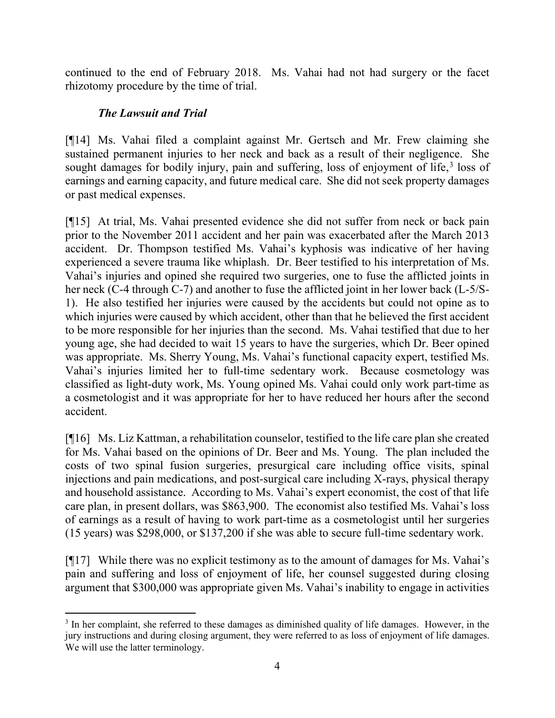continued to the end of February 2018. Ms. Vahai had not had surgery or the facet rhizotomy procedure by the time of trial.

# *The Lawsuit and Trial*

[¶14] Ms. Vahai filed a complaint against Mr. Gertsch and Mr. Frew claiming she sustained permanent injuries to her neck and back as a result of their negligence. She sought damages for bodily injury, pain and suffering, loss of enjoyment of life, $3$  loss of earnings and earning capacity, and future medical care. She did not seek property damages or past medical expenses.

[¶15] At trial, Ms. Vahai presented evidence she did not suffer from neck or back pain prior to the November 2011 accident and her pain was exacerbated after the March 2013 accident. Dr. Thompson testified Ms. Vahai's kyphosis was indicative of her having experienced a severe trauma like whiplash. Dr. Beer testified to his interpretation of Ms. Vahai's injuries and opined she required two surgeries, one to fuse the afflicted joints in her neck (C-4 through C-7) and another to fuse the afflicted joint in her lower back (L-5/S-1). He also testified her injuries were caused by the accidents but could not opine as to which injuries were caused by which accident, other than that he believed the first accident to be more responsible for her injuries than the second. Ms. Vahai testified that due to her young age, she had decided to wait 15 years to have the surgeries, which Dr. Beer opined was appropriate. Ms. Sherry Young, Ms. Vahai's functional capacity expert, testified Ms. Vahai's injuries limited her to full-time sedentary work. Because cosmetology was classified as light-duty work, Ms. Young opined Ms. Vahai could only work part-time as a cosmetologist and it was appropriate for her to have reduced her hours after the second accident.

[¶16] Ms. Liz Kattman, a rehabilitation counselor, testified to the life care plan she created for Ms. Vahai based on the opinions of Dr. Beer and Ms. Young. The plan included the costs of two spinal fusion surgeries, presurgical care including office visits, spinal injections and pain medications, and post-surgical care including X-rays, physical therapy and household assistance. According to Ms. Vahai's expert economist, the cost of that life care plan, in present dollars, was \$863,900. The economist also testified Ms. Vahai's loss of earnings as a result of having to work part-time as a cosmetologist until her surgeries (15 years) was \$298,000, or \$137,200 if she was able to secure full-time sedentary work.

[¶17] While there was no explicit testimony as to the amount of damages for Ms. Vahai's pain and suffering and loss of enjoyment of life, her counsel suggested during closing argument that \$300,000 was appropriate given Ms. Vahai's inability to engage in activities

<span id="page-4-0"></span><sup>3</sup> In her complaint, she referred to these damages as diminished quality of life damages. However, in the jury instructions and during closing argument, they were referred to as loss of enjoyment of life damages. We will use the latter terminology.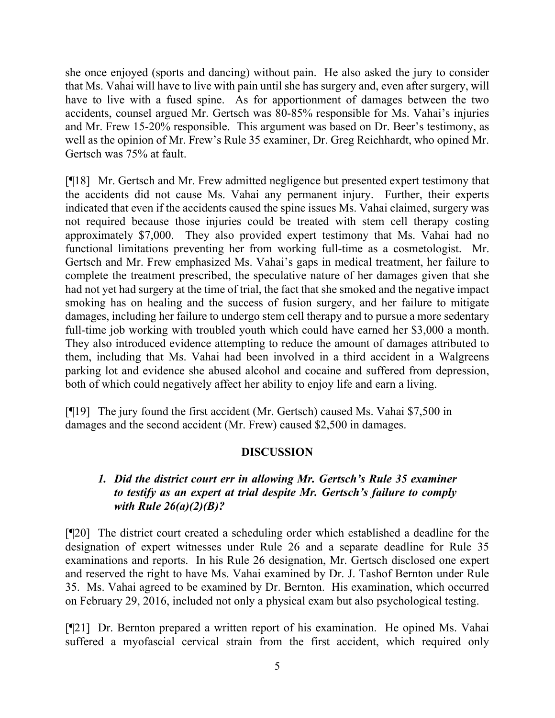she once enjoyed (sports and dancing) without pain. He also asked the jury to consider that Ms. Vahai will have to live with pain until she has surgery and, even after surgery, will have to live with a fused spine. As for apportionment of damages between the two accidents, counsel argued Mr. Gertsch was 80-85% responsible for Ms. Vahai's injuries and Mr. Frew 15-20% responsible. This argument was based on Dr. Beer's testimony, as well as the opinion of Mr. Frew's Rule 35 examiner, Dr. Greg Reichhardt, who opined Mr. Gertsch was 75% at fault.

[¶18] Mr. Gertsch and Mr. Frew admitted negligence but presented expert testimony that the accidents did not cause Ms. Vahai any permanent injury. Further, their experts indicated that even if the accidents caused the spine issues Ms. Vahai claimed, surgery was not required because those injuries could be treated with stem cell therapy costing approximately \$7,000. They also provided expert testimony that Ms. Vahai had no functional limitations preventing her from working full-time as a cosmetologist. Mr. Gertsch and Mr. Frew emphasized Ms. Vahai's gaps in medical treatment, her failure to complete the treatment prescribed, the speculative nature of her damages given that she had not yet had surgery at the time of trial, the fact that she smoked and the negative impact smoking has on healing and the success of fusion surgery, and her failure to mitigate damages, including her failure to undergo stem cell therapy and to pursue a more sedentary full-time job working with troubled youth which could have earned her \$3,000 a month. They also introduced evidence attempting to reduce the amount of damages attributed to them, including that Ms. Vahai had been involved in a third accident in a Walgreens parking lot and evidence she abused alcohol and cocaine and suffered from depression, both of which could negatively affect her ability to enjoy life and earn a living.

[¶19] The jury found the first accident (Mr. Gertsch) caused Ms. Vahai \$7,500 in damages and the second accident (Mr. Frew) caused \$2,500 in damages.

## **DISCUSSION**

# *1. Did the district court err in allowing Mr. Gertsch's Rule 35 examiner to testify as an expert at trial despite Mr. Gertsch's failure to comply with Rule 26(a)(2)(B)?*

[¶20] The district court created a scheduling order which established a deadline for the designation of expert witnesses under Rule 26 and a separate deadline for Rule 35 examinations and reports. In his Rule 26 designation, Mr. Gertsch disclosed one expert and reserved the right to have Ms. Vahai examined by Dr. J. Tashof Bernton under Rule 35. Ms. Vahai agreed to be examined by Dr. Bernton. His examination, which occurred on February 29, 2016, included not only a physical exam but also psychological testing.

[¶21] Dr. Bernton prepared a written report of his examination. He opined Ms. Vahai suffered a myofascial cervical strain from the first accident, which required only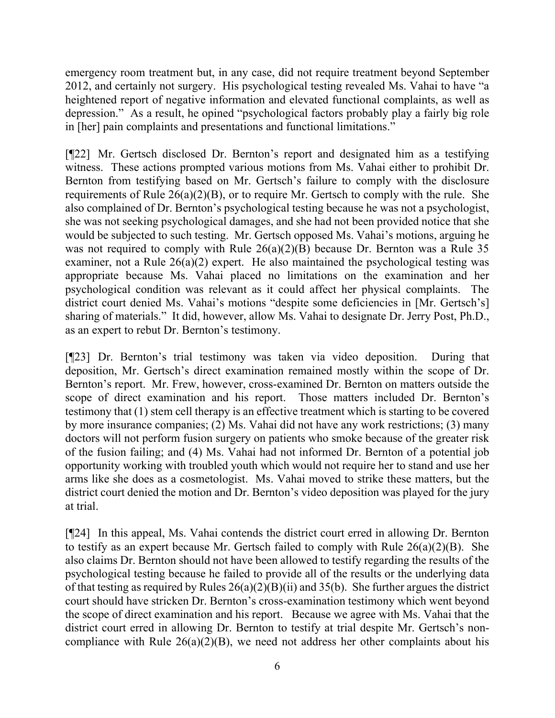emergency room treatment but, in any case, did not require treatment beyond September 2012, and certainly not surgery. His psychological testing revealed Ms. Vahai to have "a heightened report of negative information and elevated functional complaints, as well as depression." As a result, he opined "psychological factors probably play a fairly big role in [her] pain complaints and presentations and functional limitations."

[¶22] Mr. Gertsch disclosed Dr. Bernton's report and designated him as a testifying witness. These actions prompted various motions from Ms. Vahai either to prohibit Dr. Bernton from testifying based on Mr. Gertsch's failure to comply with the disclosure requirements of Rule  $26(a)(2)(B)$ , or to require Mr. Gertsch to comply with the rule. She also complained of Dr. Bernton's psychological testing because he was not a psychologist, she was not seeking psychological damages, and she had not been provided notice that she would be subjected to such testing. Mr. Gertsch opposed Ms. Vahai's motions, arguing he was not required to comply with Rule 26(a)(2)(B) because Dr. Bernton was a Rule 35 examiner, not a Rule 26(a)(2) expert. He also maintained the psychological testing was appropriate because Ms. Vahai placed no limitations on the examination and her psychological condition was relevant as it could affect her physical complaints. The district court denied Ms. Vahai's motions "despite some deficiencies in [Mr. Gertsch's] sharing of materials." It did, however, allow Ms. Vahai to designate Dr. Jerry Post, Ph.D., as an expert to rebut Dr. Bernton's testimony.

[¶23] Dr. Bernton's trial testimony was taken via video deposition. During that deposition, Mr. Gertsch's direct examination remained mostly within the scope of Dr. Bernton's report. Mr. Frew, however, cross-examined Dr. Bernton on matters outside the scope of direct examination and his report. Those matters included Dr. Bernton's testimony that (1) stem cell therapy is an effective treatment which is starting to be covered by more insurance companies; (2) Ms. Vahai did not have any work restrictions; (3) many doctors will not perform fusion surgery on patients who smoke because of the greater risk of the fusion failing; and (4) Ms. Vahai had not informed Dr. Bernton of a potential job opportunity working with troubled youth which would not require her to stand and use her arms like she does as a cosmetologist. Ms. Vahai moved to strike these matters, but the district court denied the motion and Dr. Bernton's video deposition was played for the jury at trial.

[¶24] In this appeal, Ms. Vahai contends the district court erred in allowing Dr. Bernton to testify as an expert because Mr. Gertsch failed to comply with Rule  $26(a)(2)(B)$ . She also claims Dr. Bernton should not have been allowed to testify regarding the results of the psychological testing because he failed to provide all of the results or the underlying data of that testing as required by Rules  $26(a)(2)(B)(ii)$  and  $35(b)$ . She further argues the district court should have stricken Dr. Bernton's cross-examination testimony which went beyond the scope of direct examination and his report. Because we agree with Ms. Vahai that the district court erred in allowing Dr. Bernton to testify at trial despite Mr. Gertsch's noncompliance with Rule  $26(a)(2)(B)$ , we need not address her other complaints about his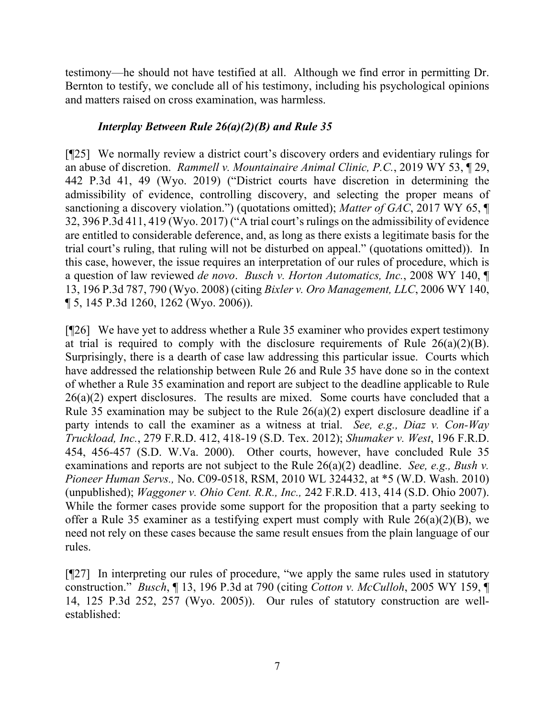testimony—he should not have testified at all. Although we find error in permitting Dr. Bernton to testify, we conclude all of his testimony, including his psychological opinions and matters raised on cross examination, was harmless.

## *Interplay Between Rule 26(a)(2)(B) and Rule 35*

[¶25] We normally review a district court's discovery orders and evidentiary rulings for an abuse of discretion. *Rammell v. Mountainaire Animal Clinic, P.C.*, 2019 WY 53, ¶ 29, 442 P.3d 41, 49 (Wyo. 2019) ("District courts have discretion in determining the admissibility of evidence, controlling discovery, and selecting the proper means of sanctioning a discovery violation.") (quotations omitted); *Matter of GAC*, 2017 WY 65, ¶ 32, 396 P.3d 411, 419 (Wyo. 2017) ("A trial court's rulings on the admissibility of evidence are entitled to considerable deference, and, as long as there exists a legitimate basis for the trial court's ruling, that ruling will not be disturbed on appeal." (quotations omitted)). In this case, however, the issue requires an interpretation of our rules of procedure, which is a question of law reviewed *de novo*. *Busch v. Horton Automatics, Inc.*, 2008 WY 140, ¶ 13, 196 P.3d 787, 790 (Wyo. 2008) (citing *Bixler v. Oro Management, LLC*, 2006 WY 140, ¶ 5, 145 P.3d 1260, 1262 (Wyo. 2006)).

[¶26] We have yet to address whether a Rule 35 examiner who provides expert testimony at trial is required to comply with the disclosure requirements of Rule  $26(a)(2)(B)$ . Surprisingly, there is a dearth of case law addressing this particular issue. Courts which have addressed the relationship between Rule 26 and Rule 35 have done so in the context of whether a Rule 35 examination and report are subject to the deadline applicable to Rule  $26(a)(2)$  expert disclosures. The results are mixed. Some courts have concluded that a Rule 35 examination may be subject to the Rule  $26(a)(2)$  expert disclosure deadline if a party intends to call the examiner as a witness at trial. *See, e.g., Diaz v. Con-Way Truckload, Inc.*, 279 F.R.D. 412, 418-19 (S.D. Tex. 2012); *Shumaker v. West*, 196 F.R.D. 454, 456-457 (S.D. W.Va. 2000). Other courts, however, have concluded Rule 35 examinations and reports are not subject to the Rule 26(a)(2) deadline. *See, e.g., [Bush v.](https://1.next.westlaw.com/Link/Document/FullText?findType=Y&serNum=2021239976&pubNum=0000999&originatingDoc=I09bc588092c011e18b05fdf15589d8e8&refType=RP&originationContext=document&transitionType=DocumentItem&contextData=(sc.Keycite))  Pioneer Human Servs.,* [No. C09-0518, RSM, 2010 WL 324432, at \\*5 \(W.D. Wash. 2010\)](https://1.next.westlaw.com/Link/Document/FullText?findType=Y&serNum=2021239976&pubNum=0000999&originatingDoc=I09bc588092c011e18b05fdf15589d8e8&refType=RP&originationContext=document&transitionType=DocumentItem&contextData=(sc.Keycite)) (unpublished); *Waggoner v. Ohio Cent. R.R., Inc.,* [242 F.R.D. 413, 414 \(S.D. Ohio 2007\).](https://1.next.westlaw.com/Link/Document/FullText?findType=Y&serNum=2012402817&pubNum=344&originatingDoc=I09bc588092c011e18b05fdf15589d8e8&refType=RP&originationContext=document&transitionType=DocumentItem&contextData=(sc.Keycite)) While the former cases provide some support for the proposition that a party seeking to offer a Rule 35 examiner as a testifying expert must comply with Rule 26(a)(2)(B), we need not rely on these cases because the same result ensues from the plain language of our rules.

[¶27] In interpreting our rules of procedure, "we apply the same rules used in statutory construction." *Busch*, ¶ 13, 196 P.3d at 790 (citing *Cotton v. McCulloh*, 2005 WY 159, ¶ 14, 125 P.3d 252, 257 (Wyo. 2005)). Our rules of statutory construction are wellestablished: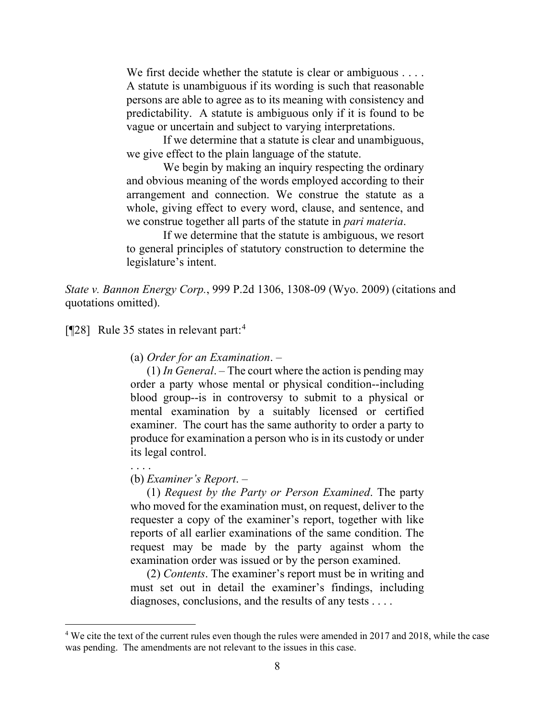We first decide whether the statute is clear or ambiguous . . . . A statute is unambiguous if its wording is such that reasonable persons are able to agree as to its meaning with consistency and predictability. A statute is ambiguous only if it is found to be vague or uncertain and subject to varying interpretations.

If we determine that a statute is clear and unambiguous, we give effect to the plain language of the statute.

We begin by making an inquiry respecting the ordinary and obvious meaning of the words employed according to their arrangement and connection. We construe the statute as a whole, giving effect to every word, clause, and sentence, and we construe together all parts of the statute in *pari materia*.

If we determine that the statute is ambiguous, we resort to general principles of statutory construction to determine the legislature's intent.

*State v. Bannon Energy Corp.*, 999 P.2d 1306, 1308-09 (Wyo. 2009) (citations and quotations omitted).

[¶28] Rule 35 states in relevant part:[4](#page-8-0)

(a) *Order for an Examination*. –

(1) *In General*. – The court where the action is pending may order a party whose mental or physical condition--including blood group--is in controversy to submit to a physical or mental examination by a suitably licensed or certified examiner. The court has the same authority to order a party to produce for examination a person who is in its custody or under its legal control.

#### . . . .

#### (b) *Examiner's Report*. –

(1) *Request by the Party or Person Examined*. The party who moved for the examination must, on request, deliver to the requester a copy of the examiner's report, together with like reports of all earlier examinations of the same condition. The request may be made by the party against whom the examination order was issued or by the person examined.

(2) *Contents*. The examiner's report must be in writing and must set out in detail the examiner's findings, including diagnoses, conclusions, and the results of any tests . . . .

<span id="page-8-0"></span><sup>&</sup>lt;sup>4</sup> We cite the text of the current rules even though the rules were amended in 2017 and 2018, while the case was pending. The amendments are not relevant to the issues in this case.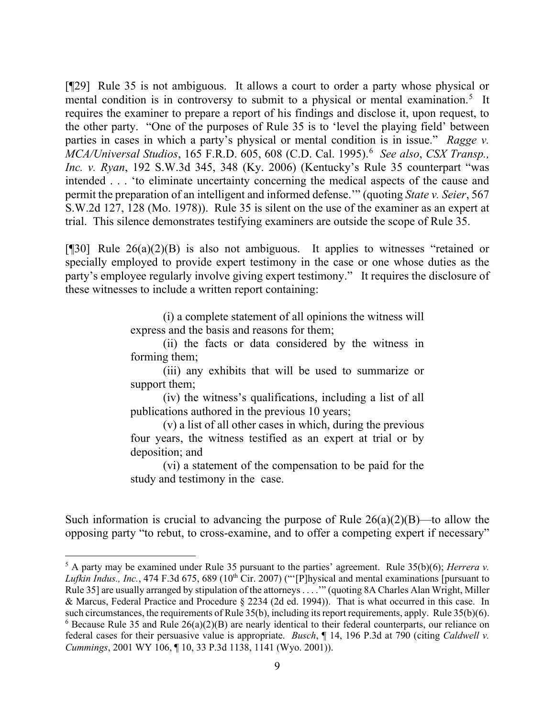[¶29] Rule 35 is not ambiguous. It allows a court to order a party whose physical or mental condition is in controversy to submit to a physical or mental examination.<sup>[5](#page-9-0)</sup> It requires the examiner to prepare a report of his findings and disclose it, upon request, to the other party. "One of the purposes of Rule 35 is to 'level the playing field' between parties in cases in which a party's physical or mental condition is in issue." *Ragge v. MCA/Universal Studios,* 1[6](#page-9-1)5 F.R.D. 605, 608 (C.D. Cal. 1995).<sup>6</sup> See also, CSX Transp., *Inc. v. Ryan*, 192 S.W.3d 345, 348 (Ky. 2006) (Kentucky's Rule 35 counterpart "was intended . . . 'to eliminate uncertainty concerning the medical aspects of the cause and permit the preparation of an intelligent and informed defense.'" (quoting *State v. Seier*, 567 S.W.2d 127, 128 (Mo. 1978)). Rule 35 is silent on the use of the examiner as an expert at trial. This silence demonstrates testifying examiners are outside the scope of Rule 35.

[ $[$ [30] Rule 26(a)(2)(B) is also not ambiguous. It applies to witnesses "retained or specially employed to provide expert testimony in the case or one whose duties as the party's employee regularly involve giving expert testimony." It requires the disclosure of these witnesses to include a written report containing:

> (i) a complete statement of all opinions the witness will express and the basis and reasons for them;

> (ii) the facts or data considered by the witness in forming them;

> (iii) any exhibits that will be used to summarize or support them;

> (iv) the witness's qualifications, including a list of all publications authored in the previous 10 years;

> (v) a list of all other cases in which, during the previous four years, the witness testified as an expert at trial or by deposition; and

> (vi) a statement of the compensation to be paid for the study and testimony in the case.

Such information is crucial to advancing the purpose of Rule  $26(a)(2)(B)$ —to allow the opposing party "to rebut, to cross-examine, and to offer a competing expert if necessary"

<span id="page-9-1"></span><span id="page-9-0"></span><sup>5</sup> A party may be examined under Rule 35 pursuant to the parties' agreement. Rule 35(b)(6); *Herrera v. Lufkin Indus., Inc.*, 474 F.3d 675, 689 (10<sup>th</sup> Cir. 2007) ("'[P]hysical and mental examinations [pursuant to Rule 35] are usually arranged by stipulation of the attorneys . . . .'" (quoting 8A Charles Alan Wright, Miller & Marcus, Federal Practice and Procedure § 2234 (2d ed. 1994)). That is what occurred in this case. In such circumstances, the requirements of Rule 35(b), including its report requirements, apply. Rule 35(b)(6).  $6$  Because Rule 35 and Rule  $26(a)(2)(B)$  are nearly identical to their federal counterparts, our reliance on federal cases for their persuasive value is appropriate. *Busch*, ¶ 14, 196 P.3d at 790 (citing *Caldwell v. Cummings*, 2001 WY 106, ¶ 10, 33 P.3d 1138, 1141 (Wyo. 2001)).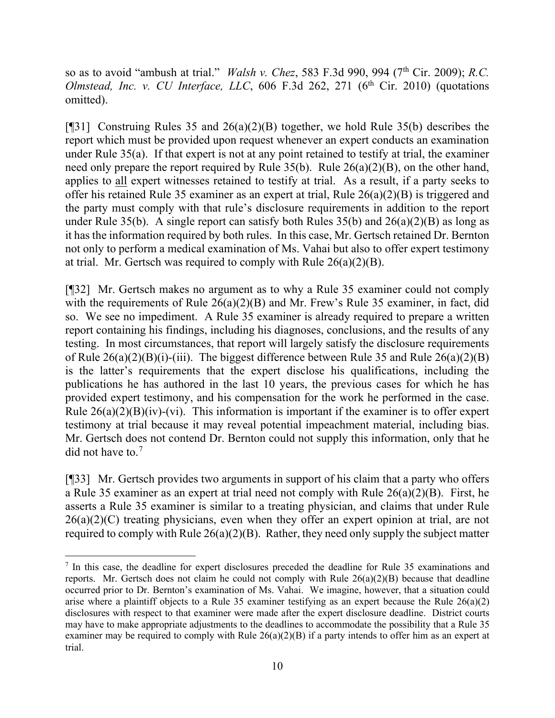so as to avoid "ambush at trial." *Walsh v. Chez*, 583 F.3d 990, 994 (7<sup>th</sup> Cir. 2009); *R.C. Olmstead, Inc. v. CU Interface, LLC, 606 F.3d 262, 271 (* $6<sup>th</sup>$  *Cir. 2010) (quotations* omitted).

[¶31] Construing Rules 35 and 26(a)(2)(B) together, we hold Rule 35(b) describes the report which must be provided upon request whenever an expert conducts an examination under Rule 35(a). If that expert is not at any point retained to testify at trial, the examiner need only prepare the report required by Rule 35(b). Rule 26(a)(2)(B), on the other hand, applies to all expert witnesses retained to testify at trial. As a result, if a party seeks to offer his retained Rule 35 examiner as an expert at trial, Rule 26(a)(2)(B) is triggered and the party must comply with that rule's disclosure requirements in addition to the report under Rule 35(b). A single report can satisfy both Rules  $35(b)$  and  $26(a)(2)(B)$  as long as it has the information required by both rules. In this case, Mr. Gertsch retained Dr. Bernton not only to perform a medical examination of Ms. Vahai but also to offer expert testimony at trial. Mr. Gertsch was required to comply with Rule 26(a)(2)(B).

[¶32] Mr. Gertsch makes no argument as to why a Rule 35 examiner could not comply with the requirements of Rule 26(a)(2)(B) and Mr. Frew's Rule 35 examiner, in fact, did so. We see no impediment. A Rule 35 examiner is already required to prepare a written report containing his findings, including his diagnoses, conclusions, and the results of any testing. In most circumstances, that report will largely satisfy the disclosure requirements of Rule  $26(a)(2)(B)(i)$ -(iii). The biggest difference between Rule 35 and Rule  $26(a)(2)(B)$ is the latter's requirements that the expert disclose his qualifications, including the publications he has authored in the last 10 years, the previous cases for which he has provided expert testimony, and his compensation for the work he performed in the case. Rule  $26(a)(2)(B)(iv)-(vi)$ . This information is important if the examiner is to offer expert testimony at trial because it may reveal potential impeachment material, including bias. Mr. Gertsch does not contend Dr. Bernton could not supply this information, only that he did not have to.<sup>[7](#page-10-0)</sup>

[¶33] Mr. Gertsch provides two arguments in support of his claim that a party who offers a Rule 35 examiner as an expert at trial need not comply with Rule 26(a)(2)(B). First, he asserts a Rule 35 examiner is similar to a treating physician, and claims that under Rule  $26(a)(2)(C)$  treating physicians, even when they offer an expert opinion at trial, are not required to comply with Rule  $26(a)(2)(B)$ . Rather, they need only supply the subject matter

<span id="page-10-0"></span><sup>7</sup> In this case, the deadline for expert disclosures preceded the deadline for Rule 35 examinations and reports. Mr. Gertsch does not claim he could not comply with Rule 26(a)(2)(B) because that deadline occurred prior to Dr. Bernton's examination of Ms. Vahai. We imagine, however, that a situation could arise where a plaintiff objects to a Rule 35 examiner testifying as an expert because the Rule 26(a)(2) disclosures with respect to that examiner were made after the expert disclosure deadline. District courts may have to make appropriate adjustments to the deadlines to accommodate the possibility that a Rule 35 examiner may be required to comply with Rule  $26(a)(2)(B)$  if a party intends to offer him as an expert at trial.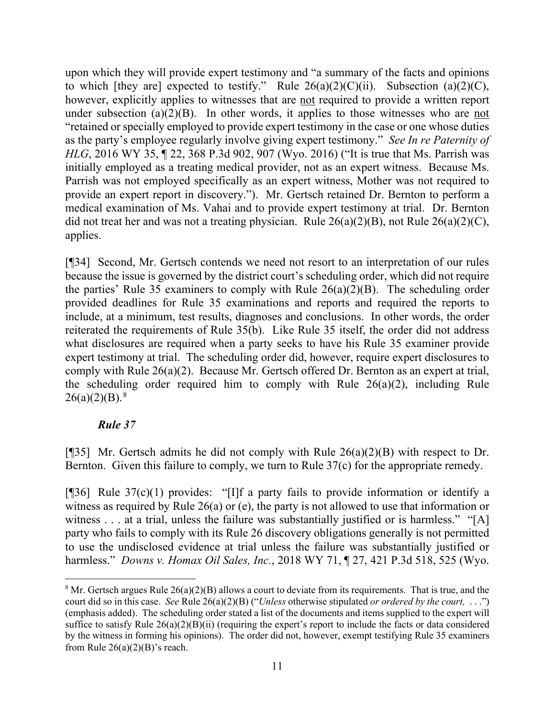upon which they will provide expert testimony and "a summary of the facts and opinions to which [they are] expected to testify." Rule  $26(a)(2)(C)(ii)$ . Subsection  $(a)(2)(C)$ , however, explicitly applies to witnesses that are not required to provide a written report under subsection  $(a)(2)(B)$ . In other words, it applies to those witnesses who are not "retained or specially employed to provide expert testimony in the case or one whose duties as the party's employee regularly involve giving expert testimony." *See In re Paternity of HLG*, 2016 WY 35, 1 22, 368 P.3d 902, 907 (Wyo. 2016) ("It is true that Ms. Parrish was initially employed as a treating medical provider, not as an expert witness. Because Ms. Parrish was not employed specifically as an expert witness, Mother was not required to provide an expert report in discovery."). Mr. Gertsch retained Dr. Bernton to perform a medical examination of Ms. Vahai and to provide expert testimony at trial. Dr. Bernton did not treat her and was not a treating physician. Rule  $26(a)(2)(B)$ , not Rule  $26(a)(2)(C)$ , applies.

[¶34] Second, Mr. Gertsch contends we need not resort to an interpretation of our rules because the issue is governed by the district court's scheduling order, which did not require the parties' Rule 35 examiners to comply with Rule  $26(a)(2)(B)$ . The scheduling order provided deadlines for Rule 35 examinations and reports and required the reports to include, at a minimum, test results, diagnoses and conclusions. In other words, the order reiterated the requirements of Rule 35(b). Like Rule 35 itself, the order did not address what disclosures are required when a party seeks to have his Rule 35 examiner provide expert testimony at trial. The scheduling order did, however, require expert disclosures to comply with Rule 26(a)(2). Because Mr. Gertsch offered Dr. Bernton as an expert at trial, the scheduling order required him to comply with Rule 26(a)(2), including Rule  $26(a)(2)(B).$ <sup>[8](#page-11-0)</sup>

# *Rule 37*

[ $[$ ]35] Mr. Gertsch admits he did not comply with Rule 26(a)(2)(B) with respect to Dr. Bernton. Given this failure to comply, we turn to Rule 37(c) for the appropriate remedy.

[ $[$ ]36] Rule 37(c)(1) provides: "[I]f a party fails to provide information or identify a witness as required by Rule 26(a) or (e), the party is not allowed to use that information or witness . . . at a trial, unless the failure was substantially justified or is harmless." "[A] party who fails to comply with its Rule 26 discovery obligations generally is not permitted to use the undisclosed evidence at trial unless the failure was substantially justified or harmless." *Downs v. Homax Oil Sales, Inc.*, 2018 WY 71, ¶ 27, 421 P.3d 518, 525 (Wyo.

<span id="page-11-0"></span><sup>&</sup>lt;sup>8</sup> Mr. Gertsch argues Rule  $26(a)(2)(B)$  allows a court to deviate from its requirements. That is true, and the court did so in this case. *See* Rule 26(a)(2)(B) ("*Unless* otherwise stipulated *or ordered by the court,* . . .") (emphasis added). The scheduling order stated a list of the documents and items supplied to the expert will suffice to satisfy Rule  $26(a)(2)(B)(ii)$  (requiring the expert's report to include the facts or data considered by the witness in forming his opinions). The order did not, however, exempt testifying Rule 35 examiners from Rule  $26(a)(2)(B)$ 's reach.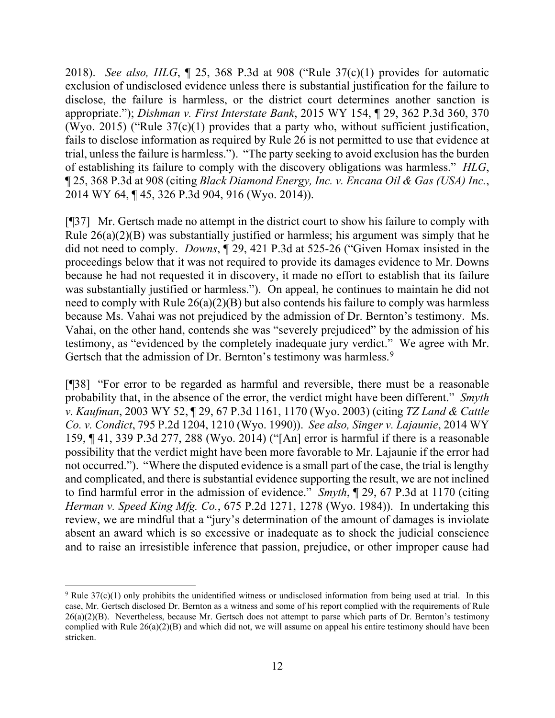2018). *See also, HLG*, ¶ 25, 368 P.3d at 908 ("Rule 37(c)(1) provides for automatic exclusion of undisclosed evidence unless there is substantial justification for the failure to disclose, the failure is harmless, or the district court determines another sanction is appropriate."); *Dishman v. First Interstate Bank*, 2015 WY 154, ¶ 29, 362 P.3d 360, 370 (Wyo. 2015) ("Rule 37(c)(1) provides that a party who, without sufficient justification, fails to disclose information as required by Rule 26 is not permitted to use that evidence at trial, unless the failure is harmless."). "The party seeking to avoid exclusion has the burden of establishing its failure to comply with the discovery obligations was harmless." *HLG*, ¶ 25, 368 P.3d at 908 (citing *Black Diamond Energy, Inc. v. Encana Oil & Gas (USA) Inc.*, 2014 WY 64, ¶ 45, 326 P.3d 904, 916 (Wyo. 2014)).

[¶37] Mr. Gertsch made no attempt in the district court to show his failure to comply with Rule 26(a)(2)(B) was substantially justified or harmless; his argument was simply that he did not need to comply. *Downs*, ¶ 29, 421 P.3d at 525-26 ("Given Homax insisted in the proceedings below that it was not required to provide its damages evidence to Mr. Downs because he had not requested it in discovery, it made no effort to establish that its failure was substantially justified or harmless."). On appeal, he continues to maintain he did not need to comply with Rule  $26(a)(2)(B)$  but also contends his failure to comply was harmless because Ms. Vahai was not prejudiced by the admission of Dr. Bernton's testimony. Ms. Vahai, on the other hand, contends she was "severely prejudiced" by the admission of his testimony, as "evidenced by the completely inadequate jury verdict." We agree with Mr. Gertsch that the admission of Dr. Bernton's testimony was harmless.<sup>[9](#page-12-0)</sup>

[¶38] "For error to be regarded as harmful and reversible, there must be a reasonable probability that, in the absence of the error, the verdict might have been different." *Smyth v. Kaufman*, 2003 WY 52, ¶ 29, 67 P.3d 1161, 1170 (Wyo. 2003) (citing *TZ Land & Cattle Co. v. Condict*, 795 P.2d 1204, 1210 (Wyo. 1990)). *See also, Singer v. Lajaunie*, 2014 WY 159, ¶ 41, 339 P.3d 277, 288 (Wyo. 2014) ("[An] error is harmful if there is a reasonable possibility that the verdict might have been more favorable to Mr. Lajaunie if the error had not occurred."). "Where the disputed evidence is a small part of the case, the trial is lengthy and complicated, and there is substantial evidence supporting the result, we are not inclined to find harmful error in the admission of evidence." *Smyth*, ¶ 29, 67 P.3d at 1170 (citing *Herman v. Speed King Mfg. Co.*, 675 P.2d 1271, 1278 (Wyo. 1984)). In undertaking this review, we are mindful that a "jury's determination of the amount of damages is inviolate absent an award which is so excessive or inadequate as to shock the judicial conscience and to raise an irresistible inference that passion, prejudice, or other improper cause had

<span id="page-12-0"></span><sup>9</sup> Rule 37(c)(1) only prohibits the unidentified witness or undisclosed information from being used at trial. In this case, Mr. Gertsch disclosed Dr. Bernton as a witness and some of his report complied with the requirements of Rule 26(a)(2)(B). Nevertheless, because Mr. Gertsch does not attempt to parse which parts of Dr. Bernton's testimony complied with Rule  $26(a)(2)(B)$  and which did not, we will assume on appeal his entire testimony should have been stricken.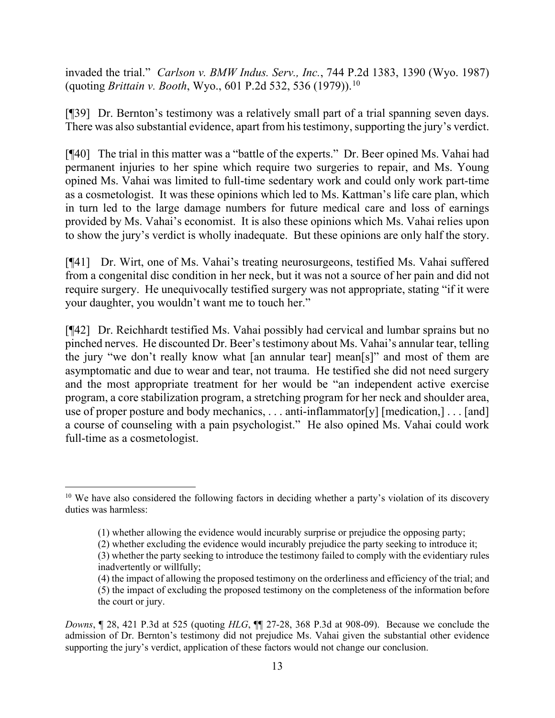invaded the trial." *Carlson v. BMW Indus. Serv., Inc.*, 744 P.2d 1383, 1390 (Wyo. 1987) (quoting *Brittain v. Booth*, Wyo., 601 P.2d 532, 536 (1979)).[10](#page-13-0)

[¶39] Dr. Bernton's testimony was a relatively small part of a trial spanning seven days. There was also substantial evidence, apart from his testimony, supporting the jury's verdict.

[¶40] The trial in this matter was a "battle of the experts." Dr. Beer opined Ms. Vahai had permanent injuries to her spine which require two surgeries to repair, and Ms. Young opined Ms. Vahai was limited to full-time sedentary work and could only work part-time as a cosmetologist. It was these opinions which led to Ms. Kattman's life care plan, which in turn led to the large damage numbers for future medical care and loss of earnings provided by Ms. Vahai's economist. It is also these opinions which Ms. Vahai relies upon to show the jury's verdict is wholly inadequate. But these opinions are only half the story.

[¶41] Dr. Wirt, one of Ms. Vahai's treating neurosurgeons, testified Ms. Vahai suffered from a congenital disc condition in her neck, but it was not a source of her pain and did not require surgery. He unequivocally testified surgery was not appropriate, stating "if it were your daughter, you wouldn't want me to touch her."

[¶42] Dr. Reichhardt testified Ms. Vahai possibly had cervical and lumbar sprains but no pinched nerves. He discounted Dr. Beer's testimony about Ms. Vahai's annular tear, telling the jury "we don't really know what [an annular tear] mean[s]" and most of them are asymptomatic and due to wear and tear, not trauma. He testified she did not need surgery and the most appropriate treatment for her would be "an independent active exercise program, a core stabilization program, a stretching program for her neck and shoulder area, use of proper posture and body mechanics, . . . anti-inflammator[y] [medication,] . . . [and] a course of counseling with a pain psychologist." He also opined Ms. Vahai could work full-time as a cosmetologist.

<span id="page-13-0"></span> $10$  We have also considered the following factors in deciding whether a party's violation of its discovery duties was harmless:

<sup>(1)</sup> whether allowing the evidence would incurably surprise or prejudice the opposing party;

<sup>(2)</sup> whether excluding the evidence would incurably prejudice the party seeking to introduce it;

<sup>(3)</sup> whether the party seeking to introduce the testimony failed to comply with the evidentiary rules inadvertently or willfully;

<sup>(4)</sup> the impact of allowing the proposed testimony on the orderliness and efficiency of the trial; and (5) the impact of excluding the proposed testimony on the completeness of the information before the court or jury.

*Downs*, ¶ 28, 421 P.3d at 525 (quoting *HLG*, ¶¶ 27-28, 368 P.3d at 908-09). Because we conclude the admission of Dr. Bernton's testimony did not prejudice Ms. Vahai given the substantial other evidence supporting the jury's verdict, application of these factors would not change our conclusion.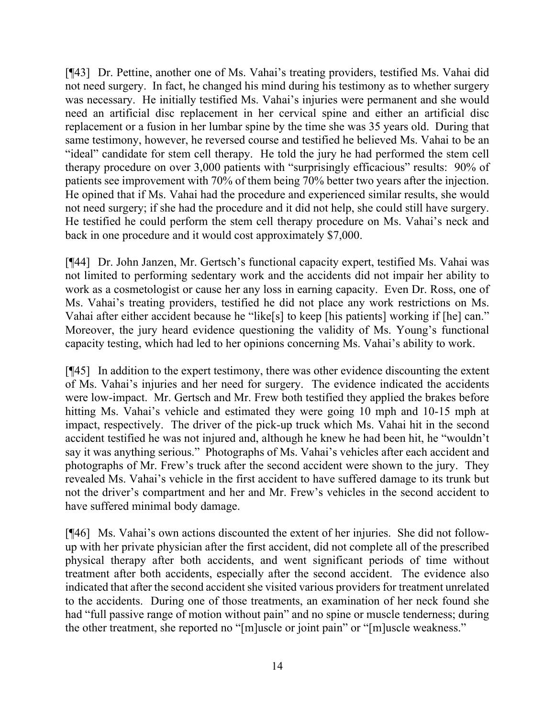[¶43] Dr. Pettine, another one of Ms. Vahai's treating providers, testified Ms. Vahai did not need surgery. In fact, he changed his mind during his testimony as to whether surgery was necessary. He initially testified Ms. Vahai's injuries were permanent and she would need an artificial disc replacement in her cervical spine and either an artificial disc replacement or a fusion in her lumbar spine by the time she was 35 years old. During that same testimony, however, he reversed course and testified he believed Ms. Vahai to be an "ideal" candidate for stem cell therapy. He told the jury he had performed the stem cell therapy procedure on over 3,000 patients with "surprisingly efficacious" results: 90% of patients see improvement with 70% of them being 70% better two years after the injection. He opined that if Ms. Vahai had the procedure and experienced similar results, she would not need surgery; if she had the procedure and it did not help, she could still have surgery. He testified he could perform the stem cell therapy procedure on Ms. Vahai's neck and back in one procedure and it would cost approximately \$7,000.

[¶44] Dr. John Janzen, Mr. Gertsch's functional capacity expert, testified Ms. Vahai was not limited to performing sedentary work and the accidents did not impair her ability to work as a cosmetologist or cause her any loss in earning capacity. Even Dr. Ross, one of Ms. Vahai's treating providers, testified he did not place any work restrictions on Ms. Vahai after either accident because he "like[s] to keep [his patients] working if [he] can." Moreover, the jury heard evidence questioning the validity of Ms. Young's functional capacity testing, which had led to her opinions concerning Ms. Vahai's ability to work.

[¶45] In addition to the expert testimony, there was other evidence discounting the extent of Ms. Vahai's injuries and her need for surgery. The evidence indicated the accidents were low-impact. Mr. Gertsch and Mr. Frew both testified they applied the brakes before hitting Ms. Vahai's vehicle and estimated they were going 10 mph and 10-15 mph at impact, respectively. The driver of the pick-up truck which Ms. Vahai hit in the second accident testified he was not injured and, although he knew he had been hit, he "wouldn't say it was anything serious." Photographs of Ms. Vahai's vehicles after each accident and photographs of Mr. Frew's truck after the second accident were shown to the jury. They revealed Ms. Vahai's vehicle in the first accident to have suffered damage to its trunk but not the driver's compartment and her and Mr. Frew's vehicles in the second accident to have suffered minimal body damage.

[¶46] Ms. Vahai's own actions discounted the extent of her injuries. She did not followup with her private physician after the first accident, did not complete all of the prescribed physical therapy after both accidents, and went significant periods of time without treatment after both accidents, especially after the second accident. The evidence also indicated that after the second accident she visited various providers for treatment unrelated to the accidents. During one of those treatments, an examination of her neck found she had "full passive range of motion without pain" and no spine or muscle tenderness; during the other treatment, she reported no "[m]uscle or joint pain" or "[m]uscle weakness."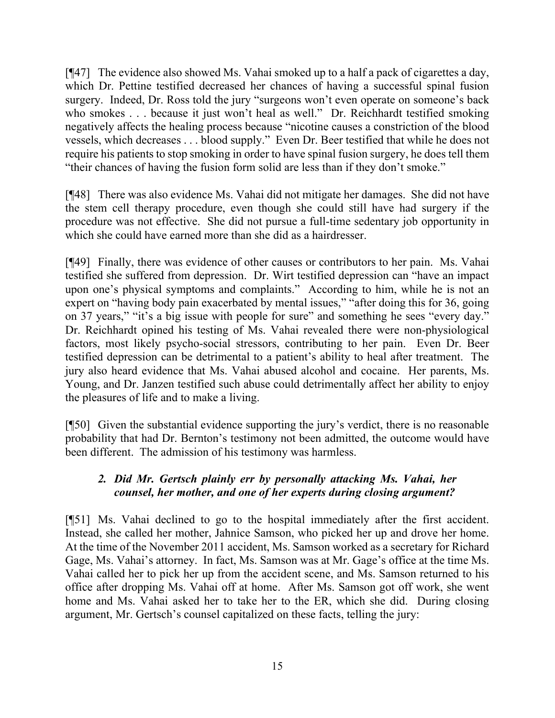[¶47] The evidence also showed Ms. Vahai smoked up to a half a pack of cigarettes a day, which Dr. Pettine testified decreased her chances of having a successful spinal fusion surgery. Indeed, Dr. Ross told the jury "surgeons won't even operate on someone's back who smokes . . . because it just won't heal as well." Dr. Reichhardt testified smoking negatively affects the healing process because "nicotine causes a constriction of the blood vessels, which decreases . . . blood supply." Even Dr. Beer testified that while he does not require his patients to stop smoking in order to have spinal fusion surgery, he does tell them "their chances of having the fusion form solid are less than if they don't smoke."

[¶48] There was also evidence Ms. Vahai did not mitigate her damages. She did not have the stem cell therapy procedure, even though she could still have had surgery if the procedure was not effective. She did not pursue a full-time sedentary job opportunity in which she could have earned more than she did as a hairdresser.

[¶49] Finally, there was evidence of other causes or contributors to her pain. Ms. Vahai testified she suffered from depression. Dr. Wirt testified depression can "have an impact upon one's physical symptoms and complaints." According to him, while he is not an expert on "having body pain exacerbated by mental issues," "after doing this for 36, going on 37 years," "it's a big issue with people for sure" and something he sees "every day." Dr. Reichhardt opined his testing of Ms. Vahai revealed there were non-physiological factors, most likely psycho-social stressors, contributing to her pain. Even Dr. Beer testified depression can be detrimental to a patient's ability to heal after treatment. The jury also heard evidence that Ms. Vahai abused alcohol and cocaine. Her parents, Ms. Young, and Dr. Janzen testified such abuse could detrimentally affect her ability to enjoy the pleasures of life and to make a living.

[¶50] Given the substantial evidence supporting the jury's verdict, there is no reasonable probability that had Dr. Bernton's testimony not been admitted, the outcome would have been different. The admission of his testimony was harmless.

# *2. Did Mr. Gertsch plainly err by personally attacking Ms. Vahai, her counsel, her mother, and one of her experts during closing argument?*

[¶51] Ms. Vahai declined to go to the hospital immediately after the first accident. Instead, she called her mother, Jahnice Samson, who picked her up and drove her home. At the time of the November 2011 accident, Ms. Samson worked as a secretary for Richard Gage, Ms. Vahai's attorney. In fact, Ms. Samson was at Mr. Gage's office at the time Ms. Vahai called her to pick her up from the accident scene, and Ms. Samson returned to his office after dropping Ms. Vahai off at home. After Ms. Samson got off work, she went home and Ms. Vahai asked her to take her to the ER, which she did. During closing argument, Mr. Gertsch's counsel capitalized on these facts, telling the jury: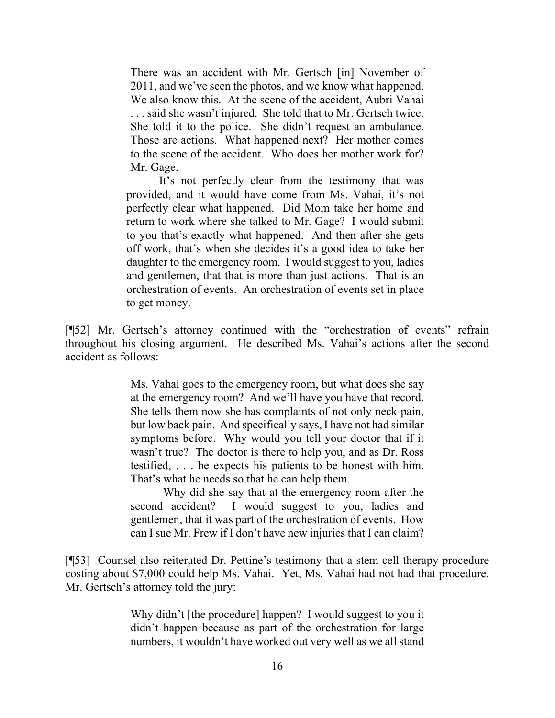There was an accident with Mr. Gertsch [in] November of 2011, and we've seen the photos, and we know what happened. We also know this. At the scene of the accident, Aubri Vahai . . . said she wasn't injured. She told that to Mr. Gertsch twice. She told it to the police. She didn't request an ambulance. Those are actions. What happened next? Her mother comes to the scene of the accident. Who does her mother work for? Mr. Gage.

It's not perfectly clear from the testimony that was provided, and it would have come from Ms. Vahai, it's not perfectly clear what happened. Did Mom take her home and return to work where she talked to Mr. Gage? I would submit to you that's exactly what happened. And then after she gets off work, that's when she decides it's a good idea to take her daughter to the emergency room. I would suggest to you, ladies and gentlemen, that that is more than just actions. That is an orchestration of events. An orchestration of events set in place to get money.

[¶52] Mr. Gertsch's attorney continued with the "orchestration of events" refrain throughout his closing argument. He described Ms. Vahai's actions after the second accident as follows:

> Ms. Vahai goes to the emergency room, but what does she say at the emergency room? And we'll have you have that record. She tells them now she has complaints of not only neck pain, but low back pain. And specifically says, I have not had similar symptoms before. Why would you tell your doctor that if it wasn't true? The doctor is there to help you, and as Dr. Ross testified, . . . he expects his patients to be honest with him. That's what he needs so that he can help them.

> Why did she say that at the emergency room after the second accident? I would suggest to you, ladies and gentlemen, that it was part of the orchestration of events. How can I sue Mr. Frew if I don't have new injuries that I can claim?

[¶53] Counsel also reiterated Dr. Pettine's testimony that a stem cell therapy procedure costing about \$7,000 could help Ms. Vahai. Yet, Ms. Vahai had not had that procedure. Mr. Gertsch's attorney told the jury:

> Why didn't [the procedure] happen? I would suggest to you it didn't happen because as part of the orchestration for large numbers, it wouldn't have worked out very well as we all stand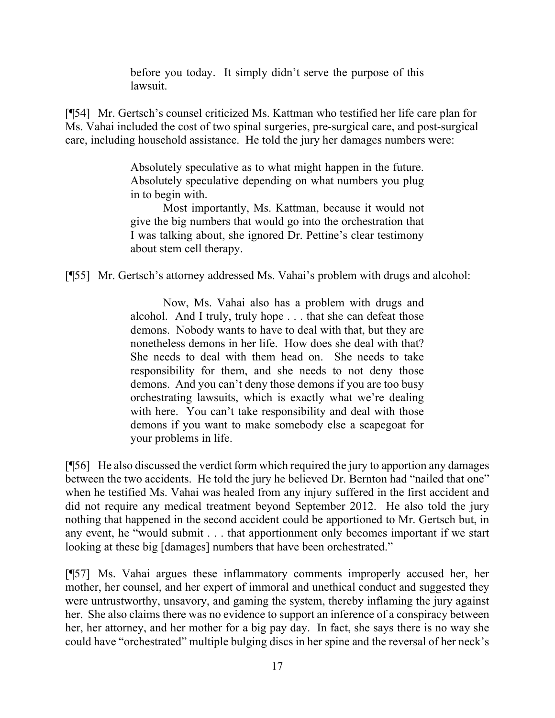before you today. It simply didn't serve the purpose of this lawsuit.

[¶54] Mr. Gertsch's counsel criticized Ms. Kattman who testified her life care plan for Ms. Vahai included the cost of two spinal surgeries, pre-surgical care, and post-surgical care, including household assistance. He told the jury her damages numbers were:

> Absolutely speculative as to what might happen in the future. Absolutely speculative depending on what numbers you plug in to begin with.

> Most importantly, Ms. Kattman, because it would not give the big numbers that would go into the orchestration that I was talking about, she ignored Dr. Pettine's clear testimony about stem cell therapy.

[¶55] Mr. Gertsch's attorney addressed Ms. Vahai's problem with drugs and alcohol:

Now, Ms. Vahai also has a problem with drugs and alcohol. And I truly, truly hope . . . that she can defeat those demons. Nobody wants to have to deal with that, but they are nonetheless demons in her life. How does she deal with that? She needs to deal with them head on. She needs to take responsibility for them, and she needs to not deny those demons. And you can't deny those demons if you are too busy orchestrating lawsuits, which is exactly what we're dealing with here. You can't take responsibility and deal with those demons if you want to make somebody else a scapegoat for your problems in life.

[¶56] He also discussed the verdict form which required the jury to apportion any damages between the two accidents. He told the jury he believed Dr. Bernton had "nailed that one" when he testified Ms. Vahai was healed from any injury suffered in the first accident and did not require any medical treatment beyond September 2012. He also told the jury nothing that happened in the second accident could be apportioned to Mr. Gertsch but, in any event, he "would submit . . . that apportionment only becomes important if we start looking at these big [damages] numbers that have been orchestrated."

[¶57] Ms. Vahai argues these inflammatory comments improperly accused her, her mother, her counsel, and her expert of immoral and unethical conduct and suggested they were untrustworthy, unsavory, and gaming the system, thereby inflaming the jury against her. She also claims there was no evidence to support an inference of a conspiracy between her, her attorney, and her mother for a big pay day. In fact, she says there is no way she could have "orchestrated" multiple bulging discs in her spine and the reversal of her neck's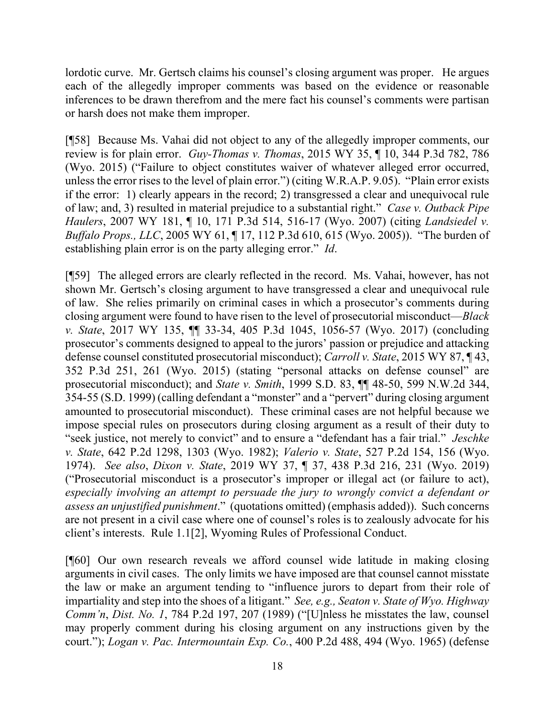lordotic curve. Mr. Gertsch claims his counsel's closing argument was proper. He argues each of the allegedly improper comments was based on the evidence or reasonable inferences to be drawn therefrom and the mere fact his counsel's comments were partisan or harsh does not make them improper.

[¶58] Because Ms. Vahai did not object to any of the allegedly improper comments, our review is for plain error. *Guy-Thomas v. Thomas*, 2015 WY 35, ¶ 10, 344 P.3d 782, 786 (Wyo. 2015) ("Failure to object constitutes waiver of whatever alleged error occurred, unless the error rises to the level of plain error.") (citing W.R.A.P. 9.05). "Plain error exists if the error: 1) clearly appears in the record; 2) transgressed a clear and unequivocal rule of law; and, 3) resulted in material prejudice to a substantial right." *Case v. Outback Pipe Haulers*, 2007 WY 181, ¶ 10, 171 P.3d 514, 516-17 (Wyo. 2007) (citing *Landsiedel v. Buffalo Props., LLC*, 2005 WY 61, 17, 112 P.3d 610, 615 (Wyo. 2005)). "The burden of establishing plain error is on the party alleging error." *Id*.

[¶59] The alleged errors are clearly reflected in the record. Ms. Vahai, however, has not shown Mr. Gertsch's closing argument to have transgressed a clear and unequivocal rule of law. She relies primarily on criminal cases in which a prosecutor's comments during closing argument were found to have risen to the level of prosecutorial misconduct—*Black v. State*, 2017 WY 135, ¶¶ 33-34, 405 P.3d 1045, 1056-57 (Wyo. 2017) (concluding prosecutor's comments designed to appeal to the jurors' passion or prejudice and attacking defense counsel constituted prosecutorial misconduct); *Carroll v. State*, 2015 WY 87, ¶ 43, 352 P.3d 251, 261 (Wyo. 2015) (stating "personal attacks on defense counsel" are prosecutorial misconduct); and *State v. Smith*, 1999 S.D. 83, ¶¶ 48-50, 599 N.W.2d 344, 354-55 (S.D. 1999) (calling defendant a "monster" and a "pervert" during closing argument amounted to prosecutorial misconduct). These criminal cases are not helpful because we impose special rules on prosecutors during closing argument as a result of their duty to "seek justice, not merely to convict" and to ensure a "defendant has a fair trial." *Jeschke v. State*, 642 P.2d 1298, 1303 (Wyo. 1982); *Valerio v. State*, 527 P.2d 154, 156 (Wyo. 1974). *See also*, *Dixon v. State*, 2019 WY 37, ¶ 37, 438 P.3d 216, 231 (Wyo. 2019) ("Prosecutorial misconduct is a prosecutor's improper or illegal act (or failure to act), *especially involving an attempt to persuade the jury to wrongly convict a defendant or assess an unjustified punishment*." (quotations omitted) (emphasis added)). Such concerns are not present in a civil case where one of counsel's roles is to zealously advocate for his client's interests. Rule 1.1[2], Wyoming Rules of Professional Conduct.

[¶60] Our own research reveals we afford counsel wide latitude in making closing arguments in civil cases. The only limits we have imposed are that counsel cannot misstate the law or make an argument tending to "influence jurors to depart from their role of impartiality and step into the shoes of a litigant." *See, e.g., Seaton v. State of Wyo. Highway Comm'n*, *Dist. No. 1*, 784 P.2d 197, 207 (1989) ("[U]nless he misstates the law, counsel may properly comment during his closing argument on any instructions given by the court."); *Logan v. Pac. Intermountain Exp. Co.*, 400 P.2d 488, 494 (Wyo. 1965) (defense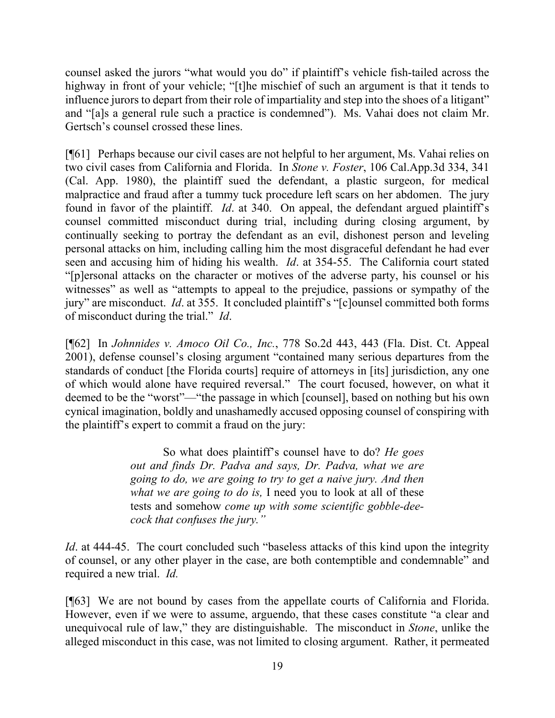counsel asked the jurors "what would you do" if plaintiff's vehicle fish-tailed across the highway in front of your vehicle; "[t]he mischief of such an argument is that it tends to influence jurors to depart from their role of impartiality and step into the shoes of a litigant" and "[a]s a general rule such a practice is condemned"). Ms. Vahai does not claim Mr. Gertsch's counsel crossed these lines.

[¶61] Perhaps because our civil cases are not helpful to her argument, Ms. Vahai relies on two civil cases from California and Florida. In *Stone v. Foster*, 106 Cal.App.3d 334, 341 (Cal. App. 1980), the plaintiff sued the defendant, a plastic surgeon, for medical malpractice and fraud after a tummy tuck procedure left scars on her abdomen. The jury found in favor of the plaintiff. *Id*. at 340. On appeal, the defendant argued plaintiff's counsel committed misconduct during trial, including during closing argument, by continually seeking to portray the defendant as an evil, dishonest person and leveling personal attacks on him, including calling him the most disgraceful defendant he had ever seen and accusing him of hiding his wealth. *Id*. at 354-55. The California court stated "[p]ersonal attacks on the character or motives of the adverse party, his counsel or his witnesses" as well as "attempts to appeal to the prejudice, passions or sympathy of the jury" are misconduct. *Id*. at 355. It concluded plaintiff's "[c]ounsel committed both forms of misconduct during the trial." *Id*.

[¶62] In *Johnnides v. Amoco Oil Co., Inc.*, 778 So.2d 443, 443 (Fla. Dist. Ct. Appeal 2001), defense counsel's closing argument "contained many serious departures from the standards of conduct [the Florida courts] require of attorneys in [its] jurisdiction, any one of which would alone have required reversal." The court focused, however, on what it deemed to be the "worst"—"the passage in which [counsel], based on nothing but his own cynical imagination, boldly and unashamedly accused opposing counsel of conspiring with the plaintiff's expert to commit a fraud on the jury:

> So what does plaintiff's counsel have to do? *He goes out and finds Dr. Padva and says, Dr. Padva, what we are going to do, we are going to try to get a naive jury. And then what we are going to do is,* I need you to look at all of these tests and somehow *come up with some scientific gobble-deecock that confuses the jury."*

*Id.* at 444-45. The court concluded such "baseless attacks of this kind upon the integrity of counsel, or any other player in the case, are both contemptible and condemnable" and required a new trial. *Id.* 

[¶63] We are not bound by cases from the appellate courts of California and Florida. However, even if we were to assume, arguendo, that these cases constitute "a clear and unequivocal rule of law," they are distinguishable. The misconduct in *Stone*, unlike the alleged misconduct in this case, was not limited to closing argument. Rather, it permeated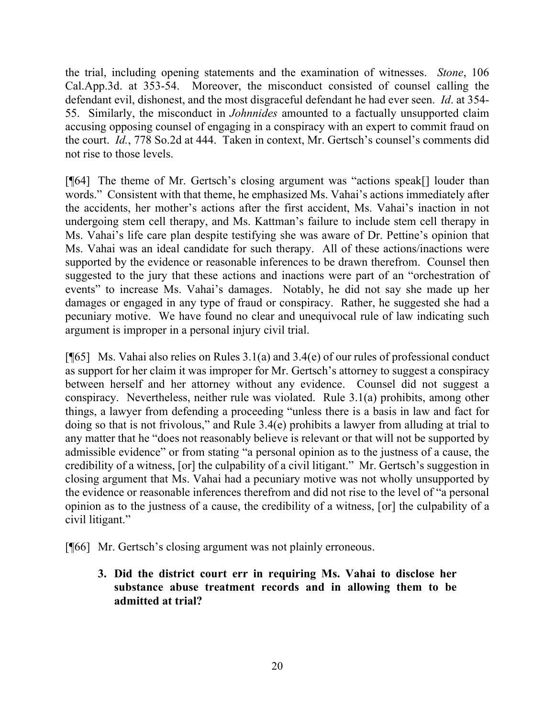the trial, including opening statements and the examination of witnesses. *Stone*, 106 Cal.App.3d. at 353-54. Moreover, the misconduct consisted of counsel calling the defendant evil, dishonest, and the most disgraceful defendant he had ever seen. *Id*. at 354- 55. Similarly, the misconduct in *Johnnides* amounted to a factually unsupported claim accusing opposing counsel of engaging in a conspiracy with an expert to commit fraud on the court. *Id.*, 778 So.2d at 444. Taken in context, Mr. Gertsch's counsel's comments did not rise to those levels.

[¶64] The theme of Mr. Gertsch's closing argument was "actions speak[] louder than words." Consistent with that theme, he emphasized Ms. Vahai's actions immediately after the accidents, her mother's actions after the first accident, Ms. Vahai's inaction in not undergoing stem cell therapy, and Ms. Kattman's failure to include stem cell therapy in Ms. Vahai's life care plan despite testifying she was aware of Dr. Pettine's opinion that Ms. Vahai was an ideal candidate for such therapy. All of these actions/inactions were supported by the evidence or reasonable inferences to be drawn therefrom. Counsel then suggested to the jury that these actions and inactions were part of an "orchestration of events" to increase Ms. Vahai's damages. Notably, he did not say she made up her damages or engaged in any type of fraud or conspiracy. Rather, he suggested she had a pecuniary motive. We have found no clear and unequivocal rule of law indicating such argument is improper in a personal injury civil trial.

[ $[$ 65] Ms. Vahai also relies on Rules 3.1(a) and 3.4(e) of our rules of professional conduct as support for her claim it was improper for Mr. Gertsch's attorney to suggest a conspiracy between herself and her attorney without any evidence. Counsel did not suggest a conspiracy. Nevertheless, neither rule was violated. Rule 3.1(a) prohibits, among other things, a lawyer from defending a proceeding "unless there is a basis in law and fact for doing so that is not frivolous," and Rule 3.4(e) prohibits a lawyer from alluding at trial to any matter that he "does not reasonably believe is relevant or that will not be supported by admissible evidence" or from stating "a personal opinion as to the justness of a cause, the credibility of a witness, [or] the culpability of a civil litigant." Mr. Gertsch's suggestion in closing argument that Ms. Vahai had a pecuniary motive was not wholly unsupported by the evidence or reasonable inferences therefrom and did not rise to the level of "a personal opinion as to the justness of a cause, the credibility of a witness, [or] the culpability of a civil litigant."

[¶66] Mr. Gertsch's closing argument was not plainly erroneous.

**3. Did the district court err in requiring Ms. Vahai to disclose her substance abuse treatment records and in allowing them to be admitted at trial?**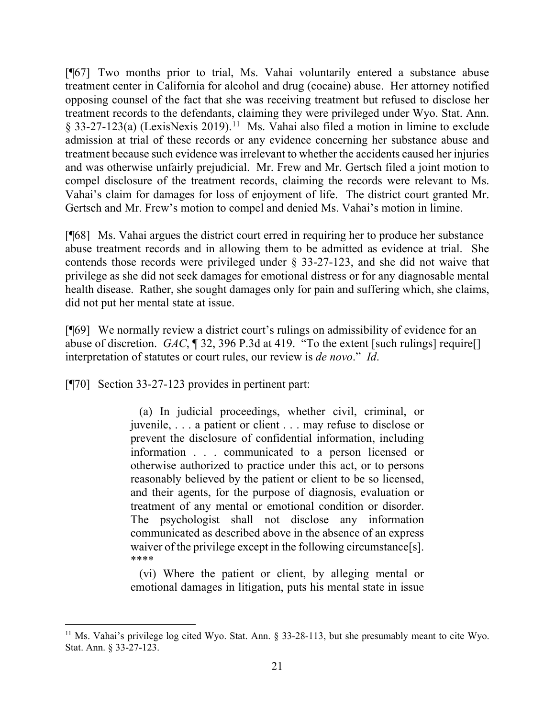[¶67] Two months prior to trial, Ms. Vahai voluntarily entered a substance abuse treatment center in California for alcohol and drug (cocaine) abuse. Her attorney notified opposing counsel of the fact that she was receiving treatment but refused to disclose her treatment records to the defendants, claiming they were privileged under Wyo. Stat. Ann. § 33-27-123(a) (LexisNexis 2019).<sup>[11](#page-21-0)</sup> Ms. Vahai also filed a motion in limine to exclude admission at trial of these records or any evidence concerning her substance abuse and treatment because such evidence was irrelevant to whether the accidents caused her injuries and was otherwise unfairly prejudicial. Mr. Frew and Mr. Gertsch filed a joint motion to compel disclosure of the treatment records, claiming the records were relevant to Ms. Vahai's claim for damages for loss of enjoyment of life. The district court granted Mr. Gertsch and Mr. Frew's motion to compel and denied Ms. Vahai's motion in limine.

[¶68] Ms. Vahai argues the district court erred in requiring her to produce her substance abuse treatment records and in allowing them to be admitted as evidence at trial. She contends those records were privileged under § 33-27-123, and she did not waive that privilege as she did not seek damages for emotional distress or for any diagnosable mental health disease. Rather, she sought damages only for pain and suffering which, she claims, did not put her mental state at issue.

[¶69] We normally review a district court's rulings on admissibility of evidence for an abuse of discretion. *GAC*, ¶ 32, 396 P.3d at 419. "To the extent [such rulings] require[] interpretation of statutes or court rules, our review is *de novo*." *Id*.

[¶70] Section 33-27-123 provides in pertinent part:

 (a) In judicial proceedings, whether civil, criminal, or juvenile, . . . a patient or client . . . may refuse to disclose or prevent the disclosure of confidential information, including information . . . communicated to a person licensed or otherwise authorized to practice under this act, or to persons reasonably believed by the patient or client to be so licensed, and their agents, for the purpose of diagnosis, evaluation or treatment of any mental or emotional condition or disorder. The psychologist shall not disclose any information communicated as described above in the absence of an express waiver of the privilege except in the following circumstance[s]. \*\*\*\*

 (vi) Where the patient or client, by alleging mental or emotional damages in litigation, puts his mental state in issue

<span id="page-21-0"></span><sup>&</sup>lt;sup>11</sup> Ms. Vahai's privilege log cited Wyo. Stat. Ann. § 33-28-113, but she presumably meant to cite Wyo. Stat. Ann. § 33-27-123.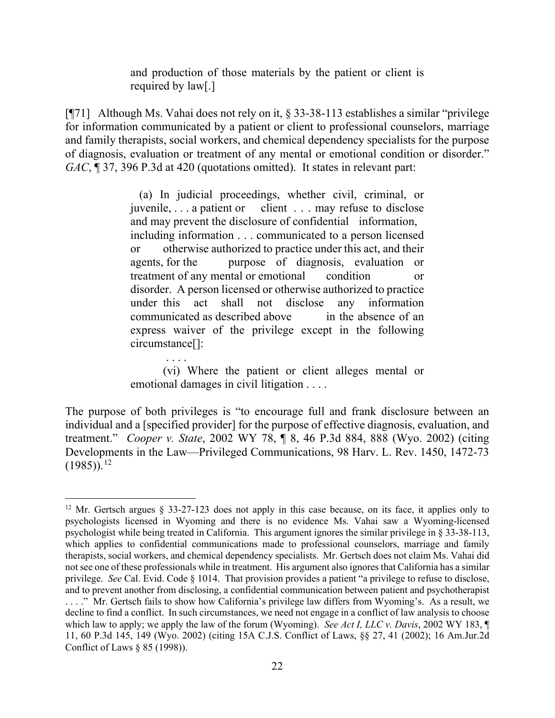and production of those materials by the patient or client is required by law[.]

[¶71] Although Ms. Vahai does not rely on it, § 33-38-113 establishes a similar "privilege for information communicated by a patient or client to professional counselors, marriage and family therapists, social workers, and chemical dependency specialists for the purpose of diagnosis, evaluation or treatment of any mental or emotional condition or disorder." *GAC*, ¶ 37, 396 P.3d at 420 (quotations omitted). It states in relevant part:

> (a) In judicial proceedings, whether civil, criminal, or juvenile, . . . a patient or client . . . may refuse to disclose and may prevent the disclosure of confidential information, including information . . . communicated to a person licensed or otherwise authorized to practice under this act, and their agents, for the purpose of diagnosis, evaluation or treatment of any mental or emotional condition or disorder. A person licensed or otherwise authorized to practice under this act shall not disclose any information communicated as described above in the absence of an express waiver of the privilege except in the following circumstance[]:

> . . . . (vi) Where the patient or client alleges mental or emotional damages in civil litigation . . . .

The purpose of both privileges is "to encourage full and frank disclosure between an individual and a [specified provider] for the purpose of effective diagnosis, evaluation, and treatment." *Cooper v. State*, 2002 WY 78, ¶ 8, 46 P.3d 884, 888 (Wyo. 2002) (citing Developments in the Law—Privileged Communications, 98 Harv. L. Rev. 1450, 1472-73  $(1985)$ <sup>[12](#page-22-0)</sup>

<span id="page-22-0"></span><sup>&</sup>lt;sup>12</sup> Mr. Gertsch argues § 33-27-123 does not apply in this case because, on its face, it applies only to psychologists licensed in Wyoming and there is no evidence Ms. Vahai saw a Wyoming-licensed psychologist while being treated in California. This argument ignores the similar privilege in § 33-38-113, which applies to confidential communications made to professional counselors, marriage and family therapists, social workers, and chemical dependency specialists. Mr. Gertsch does not claim Ms. Vahai did not see one of these professionals while in treatment. His argument also ignores that California has a similar privilege. *See* Cal. Evid. Code § 1014. That provision provides a patient "a privilege to refuse to disclose, and to prevent another from disclosing, a confidential communication between patient and psychotherapist . . . ." Mr. Gertsch fails to show how California's privilege law differs from Wyoming's. As a result, we decline to find a conflict. In such circumstances, we need not engage in a conflict of law analysis to choose which law to apply; we apply the law of the forum (Wyoming). *See Act I, LLC v. Davis*, 2002 WY 183, 11, 60 P.3d 145, 149 (Wyo. 2002) (citing 15A C.J.S. Conflict of Laws, §§ 27, 41 (2002); 16 Am.Jur.2d Conflict of Laws § 85 (1998)).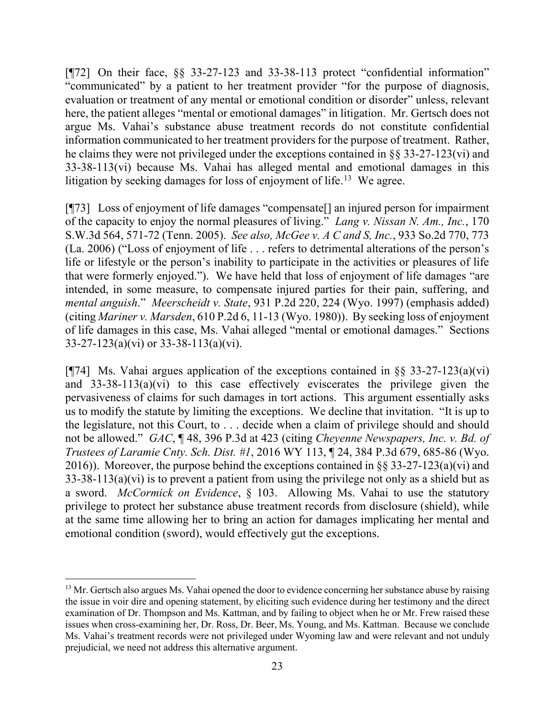[¶72] On their face, §§ 33-27-123 and 33-38-113 protect "confidential information" "communicated" by a patient to her treatment provider "for the purpose of diagnosis, evaluation or treatment of any mental or emotional condition or disorder" unless, relevant here, the patient alleges "mental or emotional damages" in litigation. Mr. Gertsch does not argue Ms. Vahai's substance abuse treatment records do not constitute confidential information communicated to her treatment providers for the purpose of treatment. Rather, he claims they were not privileged under the exceptions contained in §§ 33-27-123(vi) and 33-38-113(vi) because Ms. Vahai has alleged mental and emotional damages in this litigation by seeking damages for loss of enjoyment of life.<sup>[13](#page-23-0)</sup> We agree.

[¶73] Loss of enjoyment of life damages "compensate[] an injured person for impairment of the capacity to enjoy the normal pleasures of living." *Lang v. Nissan N. Am., Inc.*, 170 S.W.3d 564, 571-72 (Tenn. 2005). *See also, McGee v. A C and S, Inc.*, 933 So.2d 770, 773 (La. 2006) ("Loss of enjoyment of life . . . refers to detrimental alterations of the person's life or lifestyle or the person's inability to participate in the activities or pleasures of life that were formerly enjoyed."). We have held that loss of enjoyment of life damages "are intended, in some measure, to compensate injured parties for their pain, suffering, and *mental anguish*." *Meerscheidt v. State*, 931 P.2d 220, 224 (Wyo. 1997) (emphasis added) (citing *Mariner v. Marsden*, 610 P.2d 6, 11-13 (Wyo. 1980)). By seeking loss of enjoyment of life damages in this case, Ms. Vahai alleged "mental or emotional damages." Sections 33-27-123(a)(vi) or 33-38-113(a)(vi).

[ $[$ 74] Ms. Vahai argues application of the exceptions contained in §§ 33-27-123(a)(vi) and 33-38-113(a)(vi) to this case effectively eviscerates the privilege given the pervasiveness of claims for such damages in tort actions. This argument essentially asks us to modify the statute by limiting the exceptions. We decline that invitation. "It is up to the legislature, not this Court, to . . . decide when a claim of privilege should and should not be allowed." *GAC*, ¶ 48, 396 P.3d at 423 (citing *Cheyenne Newspapers, Inc. v. Bd. of Trustees of Laramie Cnty. Sch. Dist. #1*, 2016 WY 113, ¶ 24, 384 P.3d 679, 685-86 (Wyo. 2016)). Moreover, the purpose behind the exceptions contained in  $\S$ § 33-27-123(a)(vi) and  $33-38-113(a)(vi)$  is to prevent a patient from using the privilege not only as a shield but as a sword. *McCormick on Evidence*, § 103. Allowing Ms. Vahai to use the statutory privilege to protect her substance abuse treatment records from disclosure (shield), while at the same time allowing her to bring an action for damages implicating her mental and emotional condition (sword), would effectively gut the exceptions.

<span id="page-23-0"></span> $<sup>13</sup>$  Mr. Gertsch also argues Ms. Vahai opened the door to evidence concerning her substance abuse by raising</sup> the issue in voir dire and opening statement, by eliciting such evidence during her testimony and the direct examination of Dr. Thompson and Ms. Kattman, and by failing to object when he or Mr. Frew raised these issues when cross-examining her, Dr. Ross, Dr. Beer, Ms. Young, and Ms. Kattman. Because we conclude Ms. Vahai's treatment records were not privileged under Wyoming law and were relevant and not unduly prejudicial, we need not address this alternative argument.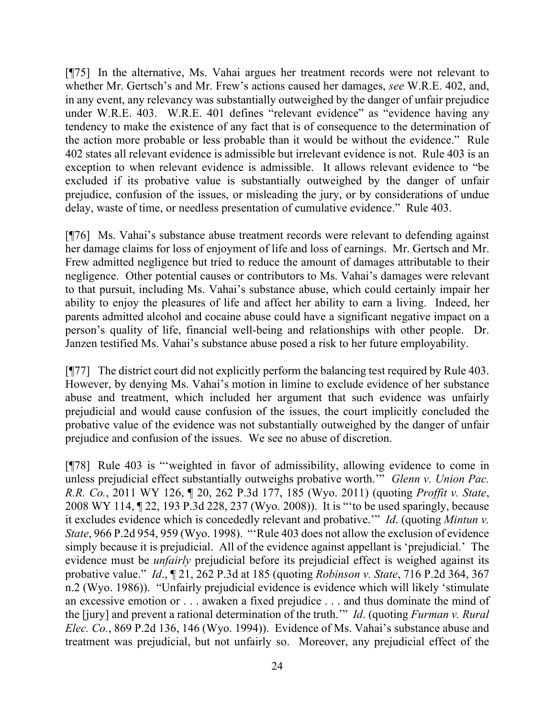[¶75] In the alternative, Ms. Vahai argues her treatment records were not relevant to whether Mr. Gertsch's and Mr. Frew's actions caused her damages, *see* W.R.E. 402, and, in any event, any relevancy was substantially outweighed by the danger of unfair prejudice under W.R.E. 403. W.R.E. 401 defines "relevant evidence" as "evidence having any tendency to make the existence of any fact that is of consequence to the determination of the action more probable or less probable than it would be without the evidence." Rule 402 states all relevant evidence is admissible but irrelevant evidence is not. Rule 403 is an exception to when relevant evidence is admissible. It allows relevant evidence to "be excluded if its probative value is substantially outweighed by the danger of unfair prejudice, confusion of the issues, or misleading the jury, or by considerations of undue delay, waste of time, or needless presentation of cumulative evidence." Rule 403.

[¶76] Ms. Vahai's substance abuse treatment records were relevant to defending against her damage claims for loss of enjoyment of life and loss of earnings. Mr. Gertsch and Mr. Frew admitted negligence but tried to reduce the amount of damages attributable to their negligence. Other potential causes or contributors to Ms. Vahai's damages were relevant to that pursuit, including Ms. Vahai's substance abuse, which could certainly impair her ability to enjoy the pleasures of life and affect her ability to earn a living. Indeed, her parents admitted alcohol and cocaine abuse could have a significant negative impact on a person's quality of life, financial well-being and relationships with other people. Dr. Janzen testified Ms. Vahai's substance abuse posed a risk to her future employability.

[¶77] The district court did not explicitly perform the balancing test required by Rule 403. However, by denying Ms. Vahai's motion in limine to exclude evidence of her substance abuse and treatment, which included her argument that such evidence was unfairly prejudicial and would cause confusion of the issues, the court implicitly concluded the probative value of the evidence was not substantially outweighed by the danger of unfair prejudice and confusion of the issues. We see no abuse of discretion.

[¶78] Rule 403 is "'weighted in favor of admissibility, allowing evidence to come in unless prejudicial effect substantially outweighs probative worth.'" *Glenn v. Union Pac. R.R. Co.*, 2011 WY 126, ¶ 20, 262 P.3d 177, 185 (Wyo. 2011) (quoting *Proffit v. State*, 2008 WY 114, ¶ 22, 193 P.3d 228, 237 (Wyo. 2008)). It is "'to be used sparingly, because it excludes evidence which is concededly relevant and probative.'" *Id*. (quoting *Mintun v. State*, 966 P.2d 954, 959 (Wyo. 1998). "'Rule 403 does not allow the exclusion of evidence simply because it is prejudicial. All of the evidence against appellant is 'prejudicial.' The evidence must be *unfairly* prejudicial before its prejudicial effect is weighed against its probative value." *Id*., ¶ 21, 262 P.3d at 185 (quoting *Robinson v. State*, 716 P.2d 364, 367 n.2 (Wyo. 1986)). "Unfairly prejudicial evidence is evidence which will likely 'stimulate an excessive emotion or . . . awaken a fixed prejudice . . . and thus dominate the mind of the [jury] and prevent a rational determination of the truth.'" *Id*. (quoting *Furman v. Rural Elec. Co.*, 869 P.2d 136, 146 (Wyo. 1994)). Evidence of Ms. Vahai's substance abuse and treatment was prejudicial, but not unfairly so. Moreover, any prejudicial effect of the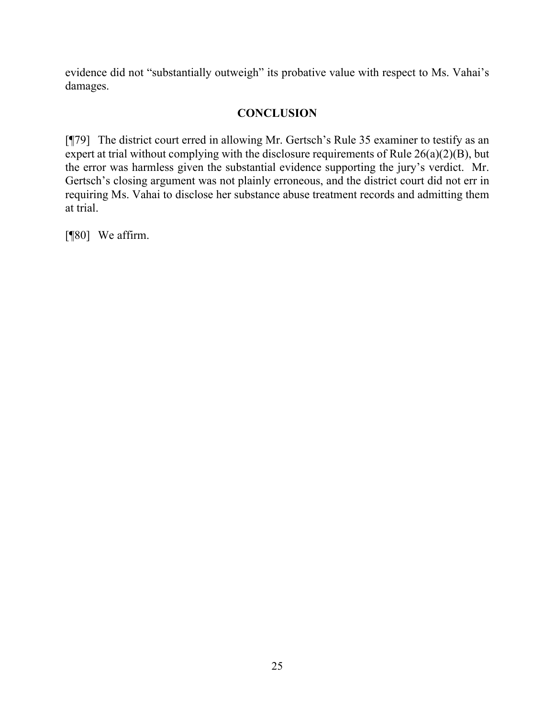evidence did not "substantially outweigh" its probative value with respect to Ms. Vahai's damages.

# **CONCLUSION**

[¶79] The district court erred in allowing Mr. Gertsch's Rule 35 examiner to testify as an expert at trial without complying with the disclosure requirements of Rule 26(a)(2)(B), but the error was harmless given the substantial evidence supporting the jury's verdict. Mr. Gertsch's closing argument was not plainly erroneous, and the district court did not err in requiring Ms. Vahai to disclose her substance abuse treatment records and admitting them at trial.

[¶80] We affirm.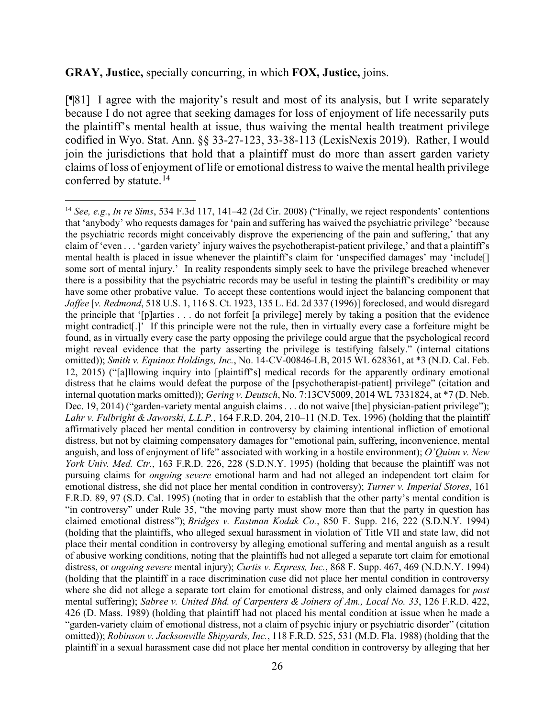#### **GRAY, Justice,** specially concurring, in which **FOX, Justice,** joins.

[¶81] I agree with the majority's result and most of its analysis, but I write separately because I do not agree that seeking damages for loss of enjoyment of life necessarily puts the plaintiff's mental health at issue, thus waiving the mental health treatment privilege codified in Wyo. Stat. Ann. §§ 33-27-123, 33-38-113 (LexisNexis 2019). Rather, I would join the jurisdictions that hold that a plaintiff must do more than assert garden variety claims of loss of enjoyment of life or emotional distress to waive the mental health privilege conferred by statute.<sup>14</sup>

<span id="page-26-0"></span><sup>14</sup> *See, e.g.*, *In re Sims*, 534 F.3d 117, 141–42 (2d Cir. 2008) ("Finally, we reject respondents' contentions that 'anybody' who requests damages for 'pain and suffering has waived the psychiatric privilege' 'because the psychiatric records might conceivably disprove the experiencing of the pain and suffering,' that any claim of 'even . . . 'garden variety' injury waives the psychotherapist-patient privilege,' and that a plaintiff's mental health is placed in issue whenever the plaintiff's claim for 'unspecified damages' may 'include[] some sort of mental injury.' In reality respondents simply seek to have the privilege breached whenever there is a possibility that the psychiatric records may be useful in testing the plaintiff's credibility or may have some other probative value. To accept these contentions would inject the balancing component that *Jaffee* [*v. Redmond*, 518 U.S. 1, 116 S. Ct. 1923, 135 L. Ed. 2d 337 (1996)] foreclosed, and would disregard the principle that '[p]arties . . . do not forfeit [a privilege] merely by taking a position that the evidence might contradict[.]' If this principle were not the rule, then in virtually every case a forfeiture might be found, as in virtually every case the party opposing the privilege could argue that the psychological record might reveal evidence that the party asserting the privilege is testifying falsely." (internal citations omitted)); *Smith v. Equinox Holdings, Inc.*, No. 14-CV-00846-LB, 2015 WL 628361, at \*3 (N.D. Cal. Feb. 12, 2015) ("[a]llowing inquiry into [plaintiff's] medical records for the apparently ordinary emotional distress that he claims would defeat the purpose of the [psychotherapist-patient] privilege" (citation and internal quotation marks omitted)); *Gering v. Deutsch*, No. 7:13CV5009, 2014 WL 7331824, at \*7 (D. Neb. Dec. 19, 2014) ("garden-variety mental anguish claims . . . do not waive [the] physician-patient privilege"); *Lahr v. Fulbright & Jaworski, L.L.P.*, 164 F.R.D. 204, 210–11 (N.D. Tex. 1996) (holding that the plaintiff affirmatively placed her mental condition in controversy by claiming intentional infliction of emotional distress, but not by claiming compensatory damages for "emotional pain, suffering, inconvenience, mental anguish, and loss of enjoyment of life" associated with working in a hostile environment); *O'Quinn v. New York Univ. Med. Ctr.*, 163 F.R.D. 226, 228 (S.D.N.Y. 1995) (holding that because the plaintiff was not pursuing claims for *ongoing severe* emotional harm and had not alleged an independent tort claim for emotional distress, she did not place her mental condition in controversy); *Turner v. Imperial Stores*, 161 F.R.D. 89, 97 (S.D. Cal. 1995) (noting that in order to establish that the other party's mental condition is "in controversy" under Rule 35, "the moving party must show more than that the party in question has claimed emotional distress"); *Bridges v. Eastman Kodak Co.*, 850 F. Supp. 216, 222 (S.D.N.Y. 1994) (holding that the plaintiffs, who alleged sexual harassment in violation of Title VII and state law, did not place their mental condition in controversy by alleging emotional suffering and mental anguish as a result of abusive working conditions, noting that the plaintiffs had not alleged a separate tort claim for emotional distress, or *ongoing severe* mental injury); *Curtis v. Express, Inc.*, 868 F. Supp. 467, 469 (N.D.N.Y. 1994) (holding that the plaintiff in a race discrimination case did not place her mental condition in controversy where she did not allege a separate tort claim for emotional distress, and only claimed damages for *past*  mental suffering); *Sabree v. United Bhd. of Carpenters & Joiners of Am., Local No. 33*, 126 F.R.D. 422, 426 (D. Mass. 1989) (holding that plaintiff had not placed his mental condition at issue when he made a "garden-variety claim of emotional distress, not a claim of psychic injury or psychiatric disorder" (citation omitted)); *Robinson v. Jacksonville Shipyards, Inc.*, 118 F.R.D. 525, 531 (M.D. Fla. 1988) (holding that the plaintiff in a sexual harassment case did not place her mental condition in controversy by alleging that her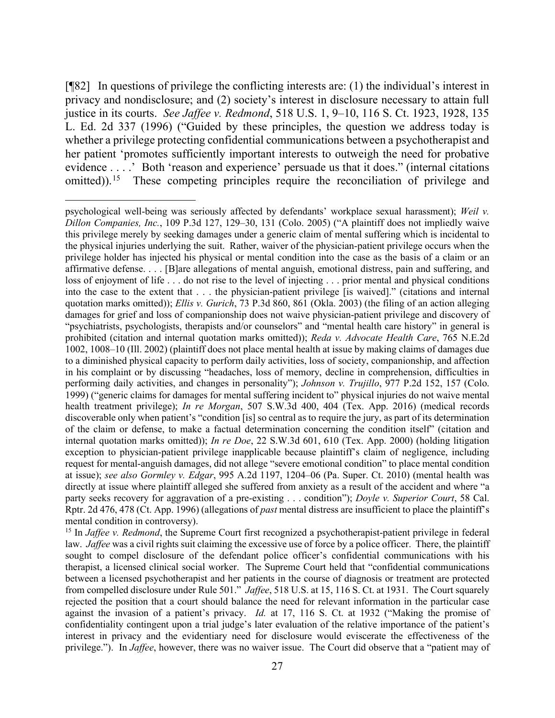[¶82] In questions of privilege the conflicting interests are: (1) the individual's interest in privacy and nondisclosure; and (2) society's interest in disclosure necessary to attain full justice in its courts. *See Jaffee v. Redmond*, 518 U.S. 1, 9–10, 116 S. Ct. 1923, 1928, 135 L. Ed. 2d 337 (1996) ("Guided by these principles, the question we address today is whether a privilege protecting confidential communications between a psychotherapist and her patient 'promotes sufficiently important interests to outweigh the need for probative evidence . . . .' Both 'reason and experience' persuade us that it does." (internal citations omitted)).<sup>15</sup> These competing principles require the reconciliation of privilege and

<span id="page-27-0"></span><sup>15</sup> In *Jaffee v. Redmond*, the Supreme Court first recognized a psychotherapist-patient privilege in federal law. *Jaffee* was a civil rights suit claiming the excessive use of force by a police officer. There, the plaintiff sought to compel disclosure of the defendant police officer's confidential communications with his therapist, a licensed clinical social worker. The Supreme Court held that "confidential communications between a licensed psychotherapist and her patients in the course of diagnosis or treatment are protected from compelled disclosure under Rule 501." *Jaffee*, 518 U.S. at 15, 116 S. Ct. at 1931. The Court squarely rejected the position that a court should balance the need for relevant information in the particular case against the invasion of a patient's privacy. *Id.* at 17, 116 S. Ct. at 1932 ("Making the promise of confidentiality contingent upon a trial judge's later evaluation of the relative importance of the patient's interest in privacy and the evidentiary need for disclosure would eviscerate the effectiveness of the privilege."). In *Jaffee*, however, there was no waiver issue. The Court did observe that a "patient may of

psychological well-being was seriously affected by defendants' workplace sexual harassment); *Weil v. Dillon Companies, Inc.*, 109 P.3d 127, 129–30, 131 (Colo. 2005) ("A plaintiff does not impliedly waive this privilege merely by seeking damages under a generic claim of mental suffering which is incidental to the physical injuries underlying the suit. Rather, waiver of the physician-patient privilege occurs when the privilege holder has injected his physical or mental condition into the case as the basis of a claim or an affirmative defense. . . . [B]are allegations of mental anguish, emotional distress, pain and suffering, and loss of enjoyment of life . . . do not rise to the level of injecting . . . prior mental and physical conditions into the case to the extent that . . . the physician-patient privilege [is waived]." (citations and internal quotation marks omitted)); *Ellis v. Gurich*, 73 P.3d 860, 861 (Okla. 2003) (the filing of an action alleging damages for grief and loss of companionship does not waive physician-patient privilege and discovery of "psychiatrists, psychologists, therapists and/or counselors" and "mental health care history" in general is prohibited (citation and internal quotation marks omitted)); *Reda v. Advocate Health Care*, 765 N.E.2d 1002, 1008–10 (Ill. 2002) (plaintiff does not place mental health at issue by making claims of damages due to a diminished physical capacity to perform daily activities, loss of society, companionship, and affection in his complaint or by discussing "headaches, loss of memory, decline in comprehension, difficulties in performing daily activities, and changes in personality"); *Johnson v. Trujillo*, 977 P.2d 152, 157 (Colo. 1999) ("generic claims for damages for mental suffering incident to" physical injuries do not waive mental health treatment privilege); *In re Morgan*, 507 S.W.3d 400, 404 (Tex. App. 2016) (medical records discoverable only when patient's "condition [is] so central as to require the jury, as part of its determination of the claim or defense, to make a factual determination concerning the condition itself" (citation and internal quotation marks omitted)); *In re Doe*[, 22 S.W.3d 601, 610 \(Tex. App. 2000\)](https://1.next.westlaw.com/Link/Document/FullText?findType=Y&serNum=2000374382&pubNum=0004644&originatingDoc=I4d8f51a0a10711e6bdb7b23a3c66d5b3&refType=RP&fi=co_pp_sp_4644_610&originationContext=document&transitionType=DocumentItem&contextData=(sc.Search)#co_pp_sp_4644_610) (holding litigation exception to physician-patient privilege inapplicable because plaintiff's claim of negligence, including request for mental-anguish damages, did not allege "severe emotional condition" to place mental condition at issue); *see also Gormley v. Edgar*, 995 A.2d 1197, 1204–06 (Pa. Super. Ct. 2010) (mental health was directly at issue where plaintiff alleged she suffered from anxiety as a result of the accident and where "a party seeks recovery for aggravation of a pre-existing . . . condition"); *Doyle v. Superior Court*, 58 Cal. Rptr. 2d 476, 478 (Ct. App. 1996) (allegations of *past* mental distress are insufficient to place the plaintiff's mental condition in controversy).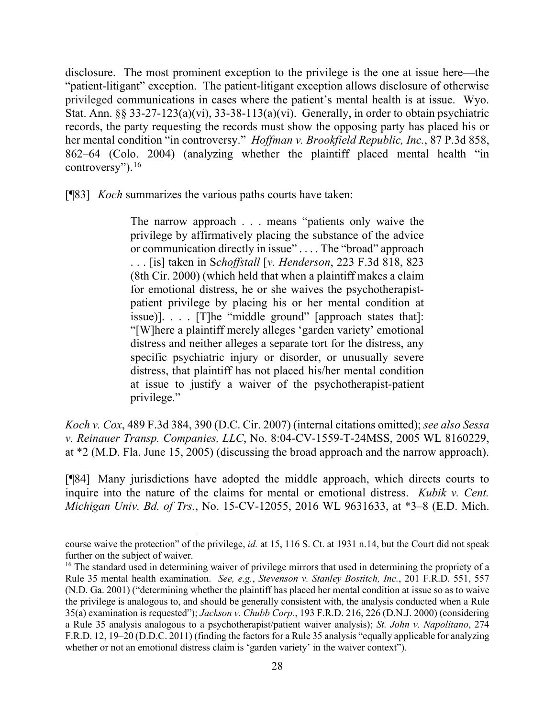disclosure. The most prominent exception to the privilege is the one at issue here—the "patient-litigant" exception. The patient-litigant exception allows disclosure of otherwise privileged communications in cases where the patient's mental health is at issue. Wyo. Stat. Ann. §§ 33-27-123(a)(vi), 33-38-113(a)(vi). Generally, in order to obtain psychiatric records, the party requesting the records must show the opposing party has placed his or her mental condition "in controversy." *Hoffman v. Brookfield Republic, Inc.*, 87 P.3d 858, 862–64 (Colo. 2004) (analyzing whether the plaintiff placed mental health "in controversy").[16](#page-28-0)

[¶83] *Koch* summarizes the various paths courts have taken:

The narrow approach . . . means "patients only waive the privilege by affirmatively placing the substance of the advice or communication directly in issue" . . . . The "broad" approach . . . [is] taken in S*choffstall* [*v. Henderson*, 223 F.3d 818, 823 (8th Cir. 2000) (which held that when a plaintiff makes a claim for emotional distress, he or she waives the psychotherapistpatient privilege by placing his or her mental condition at issue)]. . . . [T]he "middle ground" [approach states that]: "[W]here a plaintiff merely alleges 'garden variety' emotional distress and neither alleges a separate tort for the distress, any specific psychiatric injury or disorder, or unusually severe distress, that plaintiff has not placed his/her mental condition at issue to justify a waiver of the psychotherapist-patient privilege."

*Koch v. Cox*, 489 F.3d 384, 390 (D.C. Cir. 2007) (internal citations omitted); *see also Sessa v. Reinauer Transp. Companies, LLC*, No. 8:04-CV-1559-T-24MSS, 2005 WL 8160229, at \*2 (M.D. Fla. June 15, 2005) (discussing the broad approach and the narrow approach).

[¶84] Many jurisdictions have adopted the middle approach, which directs courts to inquire into the nature of the claims for mental or emotional distress. *Kubik v. Cent. Michigan Univ. Bd. of Trs.*, No. 15-CV-12055, 2016 WL 9631633, at \*3–8 (E.D. Mich.

course waive the protection" of the privilege, *id.* at 15, 116 S. Ct. at 1931 n.14, but the Court did not speak further on the subject of waiver.

<span id="page-28-0"></span><sup>&</sup>lt;sup>16</sup> The standard used in determining waiver of privilege mirrors that used in determining the propriety of a Rule 35 mental health examination. *See, e.g.*, *Stevenson v. Stanley Bostitch, Inc.*, 201 F.R.D. 551, 557 (N.D. Ga. 2001) ("determining whether the plaintiff has placed her mental condition at issue so as to waive the privilege is analogous to, and should be generally consistent with, the analysis conducted when a Rule 35(a) examination is requested"); *Jackson v. Chubb Corp.*, 193 F.R.D. 216, 226 (D.N.J. 2000) (considering a Rule 35 analysis analogous to a psychotherapist/patient waiver analysis); *St. John v. Napolitano*, 274 F.R.D. 12, 19–20 (D.D.C. 2011) (finding the factors for a Rule 35 analysis "equally applicable for analyzing whether or not an emotional distress claim is 'garden variety' in the waiver context").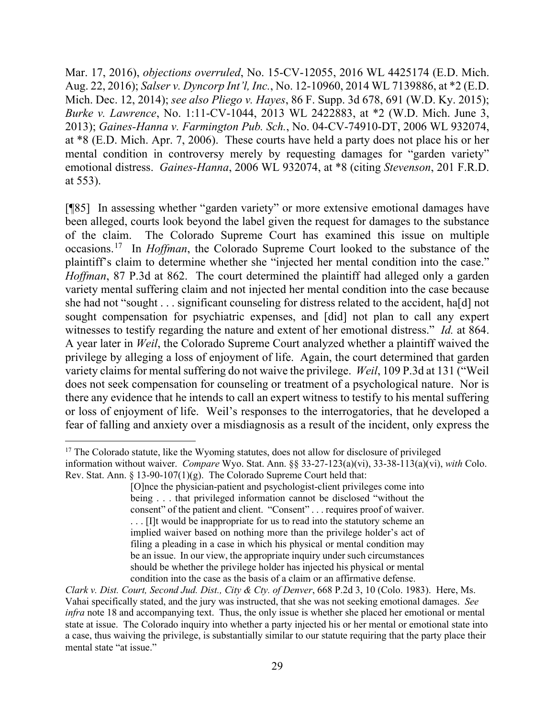Mar. 17, 2016), *objections overruled*, No. 15-CV-12055, 2016 WL 4425174 (E.D. Mich. Aug. 22, 2016); *Salser v. Dyncorp Int'l, Inc.*, No. 12-10960, 2014 WL 7139886, at \*2 (E.D. Mich. Dec. 12, 2014); *see also Pliego v. Hayes*, 86 F. Supp. 3d 678, 691 (W.D. Ky. 2015); *Burke v. Lawrence*, No. 1:11-CV-1044, 2013 WL 2422883, at \*2 (W.D. Mich. June 3, 2013); *Gaines-Hanna v. Farmington Pub. Sch.*, No. 04-CV-74910-DT, 2006 WL 932074, at \*8 (E.D. Mich. Apr. 7, 2006). These courts have held a party does not place his or her mental condition in controversy merely by requesting damages for "garden variety" emotional distress. *Gaines-Hanna*, 2006 WL 932074, at \*8 (citing *Stevenson*, 201 F.R.D. at 553).

[¶85] In assessing whether "garden variety" or more extensive emotional damages have been alleged, courts look beyond the label given the request for damages to the substance of the claim. The Colorado Supreme Court has examined this issue on multiple occasions.[17](#page-29-0) In *Hoffman*, the Colorado Supreme Court looked to the substance of the plaintiff's claim to determine whether she "injected her mental condition into the case." *Hoffman*, 87 P.3d at 862. The court determined the plaintiff had alleged only a garden variety mental suffering claim and not injected her mental condition into the case because she had not "sought . . . significant counseling for distress related to the accident, ha[d] not sought compensation for psychiatric expenses, and [did] not plan to call any expert witnesses to testify regarding the nature and extent of her emotional distress." *Id.* at 864. A year later in *Weil*, the Colorado Supreme Court analyzed whether a plaintiff waived the privilege by alleging a loss of enjoyment of life. Again, the court determined that garden variety claims for mental suffering do not waive the privilege. *Weil*, 109 P.3d at 131 ("Weil does not seek compensation for counseling or treatment of a psychological nature. Nor is there any evidence that he intends to call an expert witness to testify to his mental suffering or loss of enjoyment of life. Weil's responses to the interrogatories, that he developed a fear of falling and anxiety over a misdiagnosis as a result of the incident, only express the

<span id="page-29-0"></span><sup>&</sup>lt;sup>17</sup> The Colorado statute, like the Wyoming statutes, does not allow for disclosure of privileged information without waiver. *Compare* Wyo. Stat. Ann. §§ 33-27-123(a)(vi), 33-38-113(a)(vi), *with* Colo. Rev. Stat. Ann. § 13-90-107(1)(g).The Colorado Supreme Court held that:

<sup>[</sup>O]nce the physician-patient and psychologist-client privileges come into being . . . that privileged information cannot be disclosed "without the consent" of the patient and client. "Consent" . . . requires proof of waiver. . . . [I]t would be inappropriate for us to read into the statutory scheme an implied waiver based on nothing more than the privilege holder's act of filing a pleading in a case in which his physical or mental condition may be an issue. In our view, the appropriate inquiry under such circumstances should be whether the privilege holder has injected his physical or mental condition into the case as the basis of a claim or an affirmative defense.

*Clark v. Dist. Court, Second Jud. Dist., City & Cty. of Denver*, 668 P.2d 3, 10 (Colo. 1983). Here, Ms. Vahai specifically stated, and the jury was instructed, that she was not seeking emotional damages. *See infra* note 18 and accompanying text. Thus, the only issue is whether she placed her emotional or mental state at issue. The Colorado inquiry into whether a party injected his or her mental or emotional state into a case, thus waiving the privilege, is substantially similar to our statute requiring that the party place their mental state "at issue."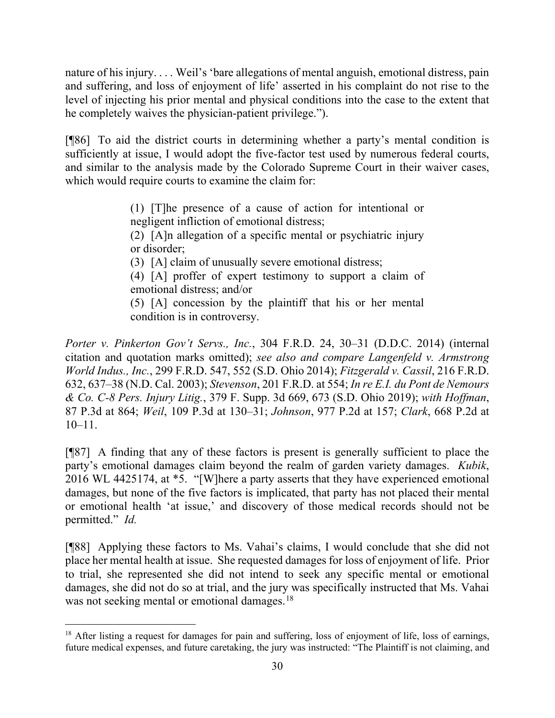nature of his injury. . . . Weil's 'bare allegations of mental anguish, emotional distress, pain and suffering, and loss of enjoyment of life' asserted in his complaint do not rise to the level of injecting his prior mental and physical conditions into the case to the extent that he completely waives the physician-patient privilege.").

[¶86] To aid the district courts in determining whether a party's mental condition is sufficiently at issue, I would adopt the five-factor test used by numerous federal courts, and similar to the analysis made by the Colorado Supreme Court in their waiver cases, which would require courts to examine the claim for:

> (1) [T]he presence of a cause of action for intentional or negligent infliction of emotional distress;

> (2) [A]n allegation of a specific mental or psychiatric injury or disorder;

(3) [A] claim of unusually severe emotional distress;

(4) [A] proffer of expert testimony to support a claim of emotional distress; and/or

(5) [A] concession by the plaintiff that his or her mental condition is in controversy.

*Porter v. Pinkerton Gov't Servs., Inc.*, 304 F.R.D. 24, 30–31 (D.D.C. 2014) (internal citation and quotation marks omitted); *see also and compare Langenfeld v. Armstrong World Indus., Inc.*, 299 F.R.D. 547, 552 (S.D. Ohio 2014); *Fitzgerald v. Cassil*, 216 F.R.D. 632, 637–38 (N.D. Cal. 2003); *Stevenson*, 201 F.R.D. at 554; *In re E.I. du Pont de Nemours & Co. C-8 Pers. Injury Litig.*, 379 F. Supp. 3d 669, 673 (S.D. Ohio 2019); *with Hoffman*, 87 P.3d at 864; *Weil*, 109 P.3d at 130–31; *Johnson*, 977 P.2d at 157; *Clark*, 668 P.2d at 10–11.

[¶87] A finding that any of these factors is present is generally sufficient to place the party's emotional damages claim beyond the realm of garden variety damages. *Kubik*, 2016 WL 4425174, at \*5. "[W]here a party asserts that they have experienced emotional damages, but none of the five factors is implicated, that party has not placed their mental or emotional health 'at issue,' and discovery of those medical records should not be permitted." *Id.*

[¶88] Applying these factors to Ms. Vahai's claims, I would conclude that she did not place her mental health at issue. She requested damages for loss of enjoyment of life. Prior to trial, she represented she did not intend to seek any specific mental or emotional damages, she did not do so at trial, and the jury was specifically instructed that Ms. Vahai was not seeking mental or emotional damages.<sup>[18](#page-30-0)</sup>

<span id="page-30-0"></span><sup>&</sup>lt;sup>18</sup> After listing a request for damages for pain and suffering, loss of enjoyment of life, loss of earnings, future medical expenses, and future caretaking, the jury was instructed: "The Plaintiff is not claiming, and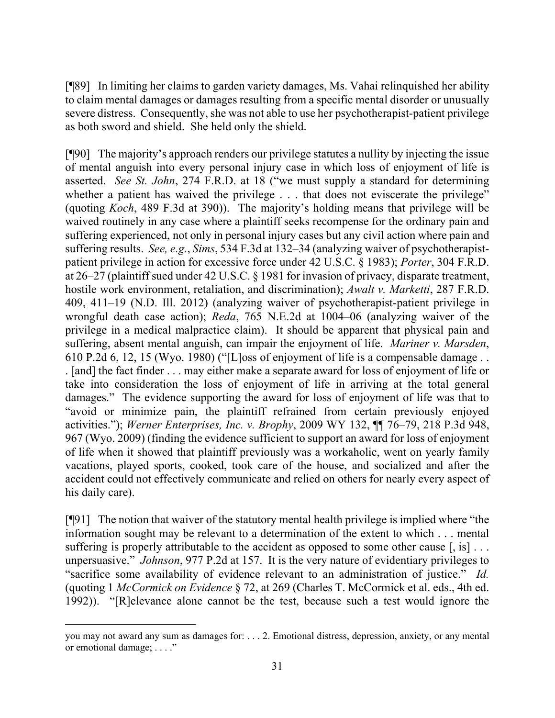[¶89] In limiting her claims to garden variety damages, Ms. Vahai relinquished her ability to claim mental damages or damages resulting from a specific mental disorder or unusually severe distress. Consequently, she was not able to use her psychotherapist-patient privilege as both sword and shield. She held only the shield.

[¶90] The majority's approach renders our privilege statutes a nullity by injecting the issue of mental anguish into every personal injury case in which loss of enjoyment of life is asserted. *See St. John*, 274 F.R.D. at 18 ("we must supply a standard for determining whether a patient has waived the privilege . . . that does not eviscerate the privilege" (quoting *Koch*, 489 F.3d at 390)). The majority's holding means that privilege will be waived routinely in any case where a plaintiff seeks recompense for the ordinary pain and suffering experienced, not only in personal injury cases but any civil action where pain and suffering results. *See, e.g.*, *Sims*, 534 F.3d at 132–34 (analyzing waiver of psychotherapistpatient privilege in action for excessive force under 42 U.S.C. § 1983); *Porter*, 304 F.R.D. at 26–27 (plaintiff sued under 42 U.S.C. § 1981 for invasion of privacy, disparate treatment, hostile work environment, retaliation, and discrimination); *Awalt v. Marketti*, 287 F.R.D. 409, 411–19 (N.D. Ill. 2012) (analyzing waiver of psychotherapist-patient privilege in wrongful death case action); *Reda*, 765 N.E.2d at 1004–06 (analyzing waiver of the privilege in a medical malpractice claim). It should be apparent that physical pain and suffering, absent mental anguish, can impair the enjoyment of life. *Mariner v. Marsden*, 610 P.2d 6, 12, 15 (Wyo. 1980) ("[L]oss of enjoyment of life is a compensable damage . . . [and] the fact finder . . . may either make a separate award for loss of enjoyment of life or take into consideration the loss of enjoyment of life in arriving at the total general damages." The evidence supporting the award for loss of enjoyment of life was that to "avoid or minimize pain, the plaintiff refrained from certain previously enjoyed activities."); *Werner Enterprises, Inc. v. Brophy*, 2009 WY 132, ¶¶ 76–79, 218 P.3d 948, 967 (Wyo. 2009) (finding the evidence sufficient to support an award for loss of enjoyment of life when it showed that plaintiff previously was a workaholic, went on yearly family vacations, played sports, cooked, took care of the house, and socialized and after the accident could not effectively communicate and relied on others for nearly every aspect of his daily care).

[¶91] The notion that waiver of the statutory mental health privilege is implied where "the information sought may be relevant to a determination of the extent to which . . . mental suffering is properly attributable to the accident as opposed to some other cause  $[,$  is  $] \ldots$ unpersuasive." *Johnson*, 977 P.2d at 157. It is the very nature of evidentiary privileges to "sacrifice some availability of evidence relevant to an administration of justice." *Id.* (quoting 1 *McCormick on Evidence* § 72, at 269 (Charles T. McCormick et al. eds., 4th ed. 1992)). "[R]elevance alone cannot be the test, because such a test would ignore the

you may not award any sum as damages for: . . . 2. Emotional distress, depression, anxiety, or any mental or emotional damage; . . . ."